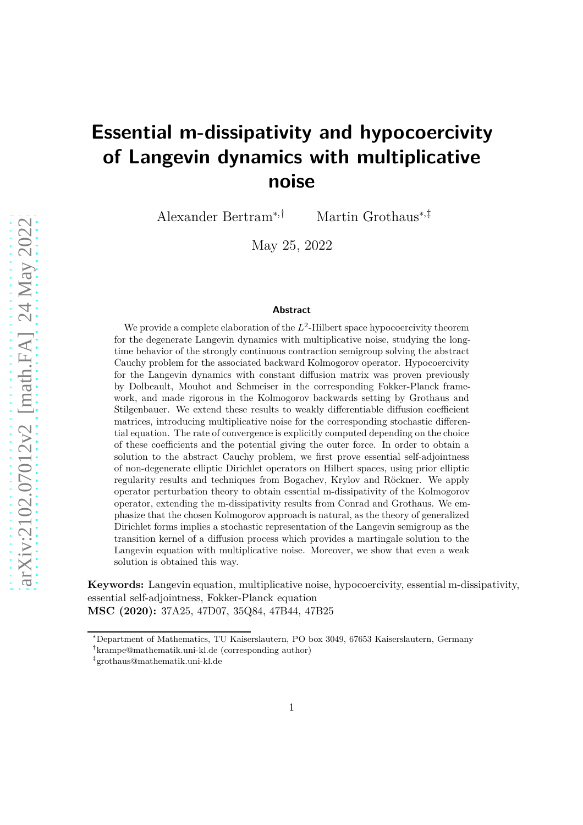# **Essential m-dissipativity and hypocoercivity of Langevin dynamics with multiplicative noise**

Alexander Bertram∗,† Martin Grothaus∗,‡

May 25, 2022

#### **Abstract**

We provide a complete elaboration of the  $L^2$ -Hilbert space hypocoercivity theorem for the degenerate Langevin dynamics with multiplicative noise, studying the longtime behavior of the strongly continuous contraction semigroup solving the abstract Cauchy problem for the associated backward Kolmogorov operator. Hypocoercivity for the Langevin dynamics with constant diffusion matrix was proven previously by Dolbeault, Mouhot and Schmeiser in the corresponding Fokker-Planck framework, and made rigorous in the Kolmogorov backwards setting by Grothaus and Stilgenbauer. We extend these results to weakly differentiable diffusion coefficient matrices, introducing multiplicative noise for the corresponding stochastic differential equation. The rate of convergence is explicitly computed depending on the choice of these coefficients and the potential giving the outer force. In order to obtain a solution to the abstract Cauchy problem, we first prove essential self-adjointness of non-degenerate elliptic Dirichlet operators on Hilbert spaces, using prior elliptic regularity results and techniques from Bogachev, Krylov and Röckner. We apply operator perturbation theory to obtain essential m-dissipativity of the Kolmogorov operator, extending the m-dissipativity results from Conrad and Grothaus. We emphasize that the chosen Kolmogorov approach is natural, as the theory of generalized Dirichlet forms implies a stochastic representation of the Langevin semigroup as the transition kernel of a diffusion process which provides a martingale solution to the Langevin equation with multiplicative noise. Moreover, we show that even a weak solution is obtained this way.

**Keywords:** Langevin equation, multiplicative noise, hypocoercivity, essential m-dissipativity, essential self-adjointness, Fokker-Planck equation **MSC (2020):** 37A25, 47D07, 35Q84, 47B44, 47B25

<sup>∗</sup>Department of Mathematics, TU Kaiserslautern, PO box 3049, 67653 Kaiserslautern, Germany

<sup>†</sup> krampe@mathematik.uni-kl.de (corresponding author)

<sup>‡</sup> grothaus@mathematik.uni-kl.de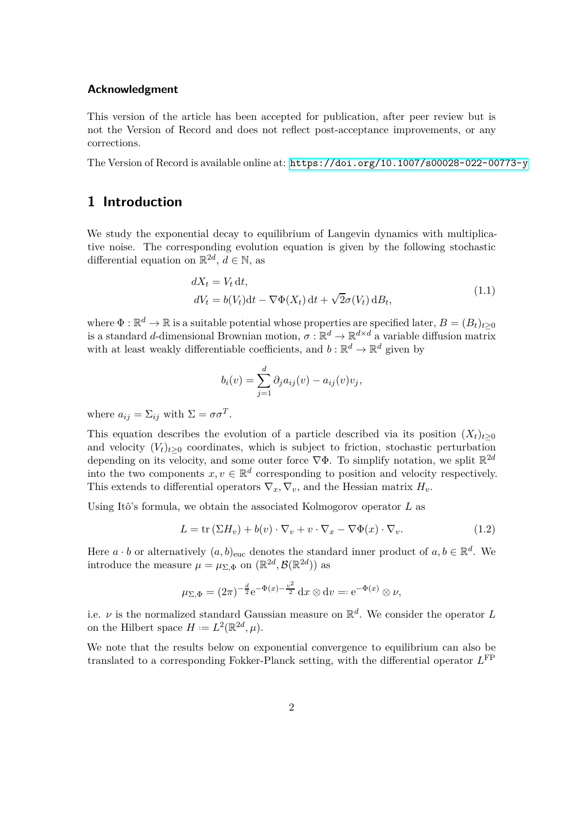#### **Acknowledgment**

This version of the article has been accepted for publication, after peer review but is not the Version of Record and does not reflect post-acceptance improvements, or any corrections.

The Version of Record is available online at: <https://doi.org/10.1007/s00028-022-00773-y>

## **1 Introduction**

We study the exponential decay to equilibrium of Langevin dynamics with multiplicative noise. The corresponding evolution equation is given by the following stochastic differential equation on  $\mathbb{R}^{2d}$ ,  $d \in \mathbb{N}$ , as

<span id="page-1-1"></span>
$$
dX_t = V_t dt,
$$
  
\n
$$
dV_t = b(V_t)dt - \nabla \Phi(X_t) dt + \sqrt{2}\sigma(V_t) dB_t,
$$
\n(1.1)

where  $\Phi : \mathbb{R}^d \to \mathbb{R}$  is a suitable potential whose properties are specified later,  $B = (B_t)_{t \geq 0}$ is a standard *d*-dimensional Brownian motion,  $\sigma : \mathbb{R}^d \to \mathbb{R}^{d \times d}$  a variable diffusion matrix with at least weakly differentiable coefficients, and  $b : \mathbb{R}^d \to \mathbb{R}^d$  given by

$$
b_i(v) = \sum_{j=1}^d \partial_j a_{ij}(v) - a_{ij}(v)v_j,
$$

where  $a_{ij} = \sum_{ij}$  with  $\Sigma = \sigma \sigma^T$ .

This equation describes the evolution of a particle described via its position  $(X_t)_{t>0}$ and velocity  $(V_t)_{t>0}$  coordinates, which is subject to friction, stochastic perturbation depending on its velocity, and some outer force  $\nabla \Phi$ . To simplify notation, we split  $\mathbb{R}^{2d}$ into the two components  $x, v \in \mathbb{R}^d$  corresponding to position and velocity respectively. This extends to differential operators  $\nabla_x$ ,  $\nabla_v$ , and the Hessian matrix  $H_v$ .

Using Itô's formula, we obtain the associated Kolmogorov operator *L* as

<span id="page-1-0"></span>
$$
L = \text{tr}(\Sigma H_v) + b(v) \cdot \nabla_v + v \cdot \nabla_x - \nabla \Phi(x) \cdot \nabla_v.
$$
 (1.2)

Here  $a \cdot b$  or alternatively  $(a, b)_{\text{euc}}$  denotes the standard inner product of  $a, b \in \mathbb{R}^d$ . We introduce the measure  $\mu = \mu_{\Sigma,\Phi}$  on  $(\mathbb{R}^{2d}, \mathcal{B}(\mathbb{R}^{2d}))$  as

$$
\mu_{\Sigma,\Phi} = (2\pi)^{-\frac{d}{2}} e^{-\Phi(x) - \frac{v^2}{2}} dx \otimes dv =: e^{-\Phi(x)} \otimes \nu,
$$

i.e.  $\nu$  is the normalized standard Gaussian measure on  $\mathbb{R}^d$ . We consider the operator *L* on the Hilbert space  $H := L^2(\mathbb{R}^{2d}, \mu)$ .

We note that the results below on exponential convergence to equilibrium can also be translated to a corresponding Fokker-Planck setting, with the differential operator *L* FP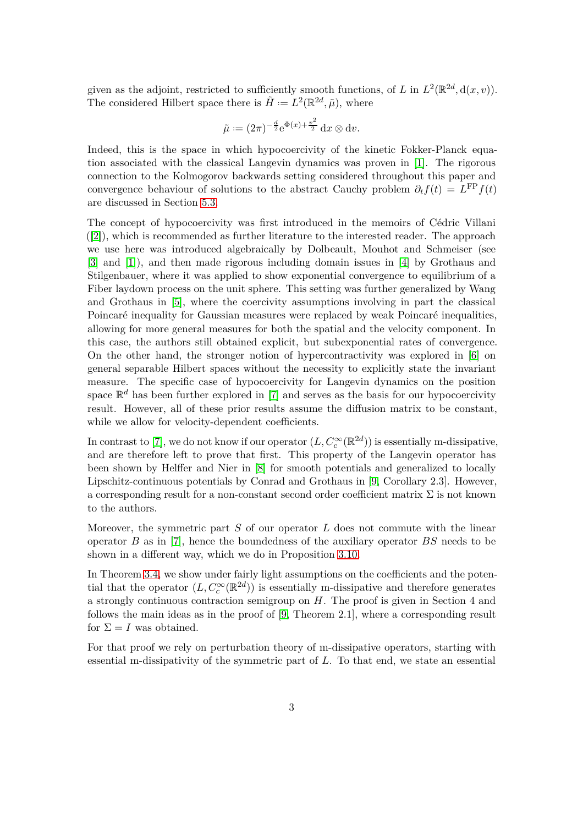given as the adjoint, restricted to sufficiently smooth functions, of *L* in  $L^2(\mathbb{R}^{2d}, d(x, v))$ . The considered Hilbert space there is  $\tilde{H} = L^2(\mathbb{R}^{2d}, \tilde{\mu})$ , where

$$
\tilde{\mu} := (2\pi)^{-\frac{d}{2}} e^{\Phi(x) + \frac{v^2}{2}} dx \otimes dv.
$$

Indeed, this is the space in which hypocoercivity of the kinetic Fokker-Planck equation associated with the classical Langevin dynamics was proven in [\[1\]](#page-28-0). The rigorous connection to the Kolmogorov backwards setting considered throughout this paper and convergence behaviour of solutions to the abstract Cauchy problem  $\partial_t f(t) = L^{\text{FP}} f(t)$ are discussed in Section [5.3.](#page-27-0)

The concept of hypocoercivity was first introduced in the memoirs of Cédric Villani ([\[2\]](#page-28-1)), which is recommended as further literature to the interested reader. The approach we use here was introduced algebraically by Dolbeault, Mouhot and Schmeiser (see [\[3\]](#page-28-2) and [\[1\]](#page-28-0)), and then made rigorous including domain issues in [\[4\]](#page-28-3) by Grothaus and Stilgenbauer, where it was applied to show exponential convergence to equilibrium of a Fiber laydown process on the unit sphere. This setting was further generalized by Wang and Grothaus in [\[5\]](#page-28-4), where the coercivity assumptions involving in part the classical Poincaré inequality for Gaussian measures were replaced by weak Poincaré inequalities, allowing for more general measures for both the spatial and the velocity component. In this case, the authors still obtained explicit, but subexponential rates of convergence. On the other hand, the stronger notion of hypercontractivity was explored in [\[6\]](#page-28-5) on general separable Hilbert spaces without the necessity to explicitly state the invariant measure. The specific case of hypocoercivity for Langevin dynamics on the position space  $\mathbb{R}^d$  has been further explored in [\[7\]](#page-28-6) and serves as the basis for our hypocoercivity result. However, all of these prior results assume the diffusion matrix to be constant, while we allow for velocity-dependent coefficients.

In contrast to [\[7\]](#page-28-6), we do not know if our operator  $(L, C_c^{\infty}(\mathbb{R}^{2d}))$  is essentially m-dissipative, and are therefore left to prove that first. This property of the Langevin operator has been shown by Helffer and Nier in [\[8\]](#page-28-7) for smooth potentials and generalized to locally Lipschitz-continuous potentials by Conrad and Grothaus in [\[9,](#page-29-0) Corollary 2.3]. However, a corresponding result for a non-constant second order coefficient matrix  $\Sigma$  is not known to the authors.

Moreover, the symmetric part *S* of our operator *L* does not commute with the linear operator *B* as in [\[7\]](#page-28-6), hence the boundedness of the auxiliary operator *BS* needs to be shown in a different way, which we do in Proposition [3.10.](#page-13-0)

In Theorem [3.4,](#page-10-0) we show under fairly light assumptions on the coefficients and the potential that the operator  $(L, C_c^{\infty}(\mathbb{R}^{2d}))$  is essentially m-dissipative and therefore generates a strongly continuous contraction semigroup on *H*. The proof is given in Section 4 and follows the main ideas as in the proof of [\[9,](#page-29-0) Theorem 2.1], where a corresponding result for  $\Sigma = I$  was obtained.

For that proof we rely on perturbation theory of m-dissipative operators, starting with essential m-dissipativity of the symmetric part of *L*. To that end, we state an essential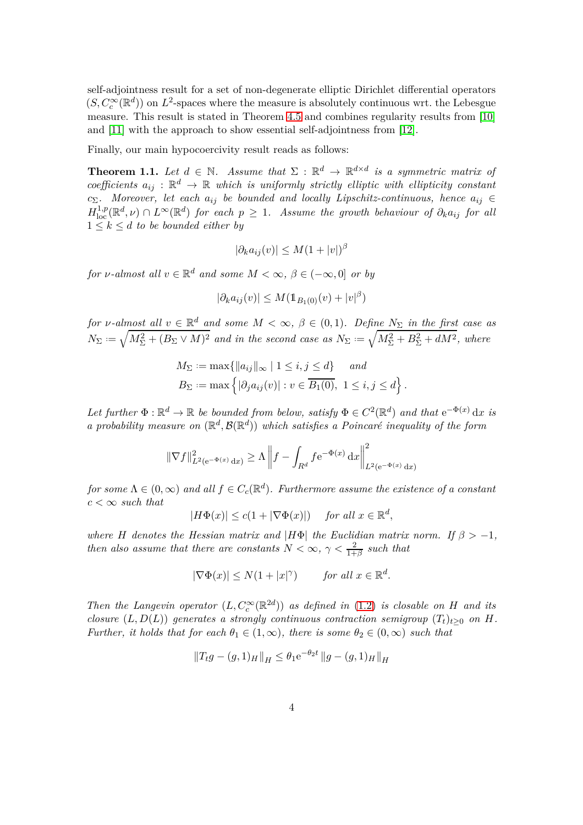self-adjointness result for a set of non-degenerate elliptic Dirichlet differential operators  $(S, C_c^{\infty}(\mathbb{R}^d))$  on  $L^2$ -spaces where the measure is absolutely continuous wrt. the Lebesgue measure. This result is stated in Theorem [4.5](#page-16-0) and combines regularity results from [\[10\]](#page-29-1) and [\[11\]](#page-29-2) with the approach to show essential self-adjointness from [\[12\]](#page-29-3).

Finally, our main hypocoercivity result reads as follows:

**Theorem 1.1.** Let  $d \in \mathbb{N}$ . Assume that  $\Sigma : \mathbb{R}^d \to \mathbb{R}^{d \times d}$  is a symmetric matrix of *coefficients*  $a_{ij}$  :  $\mathbb{R}^d \to \mathbb{R}$  *which is uniformly strictly elliptic with ellipticity constant c*Σ*. Moreover, let each aij be bounded and locally Lipschitz-continuous, hence aij* ∈  $H^{1,p}_{\text{loc}}(\mathbb{R}^d,\nu) \cap L^{\infty}(\mathbb{R}^d)$  *for each*  $p \geq 1$ *. Assume the growth behaviour of*  $\partial_k a_{ij}$  *for all*  $1 \leq k \leq d$  *to be bounded either by* 

<span id="page-3-0"></span>
$$
|\partial_k a_{ij}(v)| \le M(1+|v|)^\beta
$$

*for ν*-almost all  $v \in \mathbb{R}^d$  and some  $M < \infty$ ,  $\beta \in (-\infty, 0]$  *or by* 

$$
|\partial_k a_{ij}(v)| \le M(\mathbb{1}_{B_1(0)}(v) + |v|^\beta)
$$

*for ν*-almost all  $v \in \mathbb{R}^d$  and some  $M < \infty$ ,  $\beta \in (0,1)$ *. Define*  $N_{\Sigma}$  *in the first case as*  $N_{\Sigma} := \sqrt{M_{\Sigma}^2 + (B_{\Sigma} \vee M)^2}$  and in the second case as  $N_{\Sigma} := \sqrt{M_{\Sigma}^2 + B_{\Sigma}^2 + dM^2}$ , where

$$
M_{\Sigma} := \max\{||a_{ij}||_{\infty} \mid 1 \le i, j \le d\} \quad and
$$
  

$$
B_{\Sigma} := \max\left\{|\partial_j a_{ij}(v)| : v \in \overline{B_1(0)}, 1 \le i, j \le d\right\}.
$$

Let further  $\Phi : \mathbb{R}^d \to \mathbb{R}$  be bounded from below, satisfy  $\Phi \in C^2(\mathbb{R}^d)$  and that  $e^{-\Phi(x)} dx$  is *a probability measure on*  $(\mathbb{R}^d, \mathcal{B}(\mathbb{R}^d))$  *which satisfies a Poincaré inequality of the form* 

$$
\|\nabla f\|_{L^2(e^{-\Phi(x)} dx)}^2 \ge \Lambda \left\|f - \int_{R^d} f e^{-\Phi(x)} dx\right\|_{L^2(e^{-\Phi(x)} dx)}^2
$$

*for some*  $\Lambda \in (0, \infty)$  *and all*  $f \in C_c(\mathbb{R}^d)$ *. Furthermore assume the existence of a constant*  $c < \infty$  *such that* 

$$
|H\Phi(x)| \le c(1+|\nabla \Phi(x)|) \quad \text{ for all } x \in \mathbb{R}^d,
$$

*where H denotes the Hessian matrix and*  $|H\Phi|$  *the Euclidian matrix norm.* If  $\beta > -1$ *, then also assume that there are constants*  $N < \infty$ ,  $\gamma < \frac{2}{1+\beta}$  *such that* 

$$
|\nabla \Phi(x)| \le N(1+|x|^\gamma) \quad \text{for all } x \in \mathbb{R}^d.
$$

*Then the Langevin operator*  $(L, C_c^{\infty}(\mathbb{R}^{2d}))$  *as defined in* [\(1.2\)](#page-1-0) *is closable on H and its closure*  $(L, D(L))$  *generates a strongly continuous contraction semigroup*  $(T_t)_{t>0}$  *on H*. *Further, it holds that for each*  $\theta_1 \in (1, \infty)$ *, there is some*  $\theta_2 \in (0, \infty)$  *such that* 

$$
||T_t g - (g, 1)_H||_H \le \theta_1 e^{-\theta_2 t} ||g - (g, 1)_H||_H
$$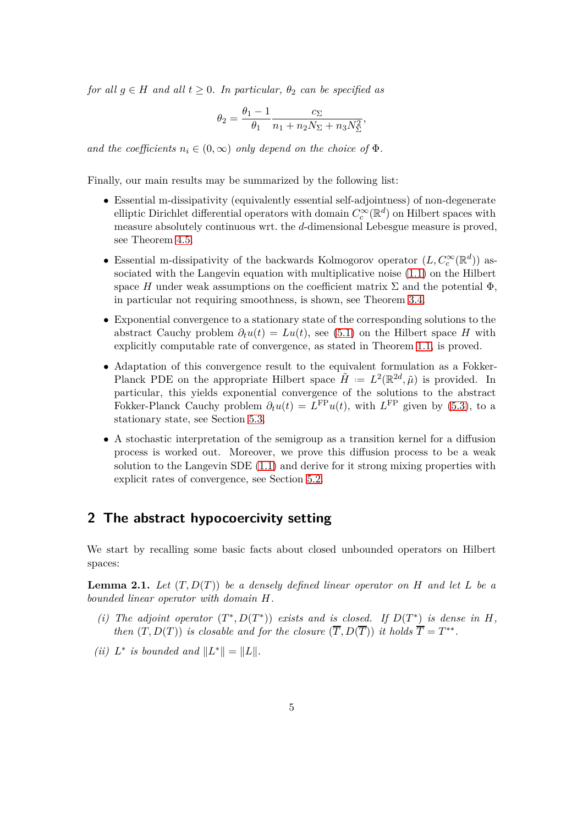*for all*  $g \in H$  *and all*  $t \geq 0$ *. In particular,*  $\theta_2$  *can be specified as* 

$$
\theta_2 = \frac{\theta_1 - 1}{\theta_1} \frac{c_{\Sigma}}{n_1 + n_2 N_{\Sigma} + n_3 N_{\Sigma}^2},
$$

*and the coefficients*  $n_i \in (0, \infty)$  *only depend on the choice of*  $\Phi$ *.* 

Finally, our main results may be summarized by the following list:

- Essential m-dissipativity (equivalently essential self-adjointness) of non-degenerate elliptic Dirichlet differential operators with domain  $C_c^{\infty}(\mathbb{R}^d)$  on Hilbert spaces with measure absolutely continuous wrt. the *d*-dimensional Lebesgue measure is proved, see Theorem [4.5.](#page-16-0)
- Essential m-dissipativity of the backwards Kolmogorov operator  $(L, C_c^{\infty}(\mathbb{R}^d))$  associated with the Langevin equation with multiplicative noise [\(1.1\)](#page-1-1) on the Hilbert space *H* under weak assumptions on the coefficient matrix  $\Sigma$  and the potential  $\Phi$ , in particular not requiring smoothness, is shown, see Theorem [3.4.](#page-10-0)
- Exponential convergence to a stationary state of the corresponding solutions to the abstract Cauchy problem  $\partial_t u(t) = Lu(t)$ , see [\(5.1\)](#page-25-0) on the Hilbert space *H* with explicitly computable rate of convergence, as stated in Theorem [1.1,](#page-3-0) is proved.
- Adaptation of this convergence result to the equivalent formulation as a Fokker-Planck PDE on the appropriate Hilbert space  $\tilde{H} := L^2(\mathbb{R}^{2d}, \tilde{\mu})$  is provided. In particular, this yields exponential convergence of the solutions to the abstract Fokker-Planck Cauchy problem  $\partial_t u(t) = L^{\text{FP}} u(t)$ , with  $L^{\text{FP}}$  given by [\(5.3\)](#page-27-1), to a stationary state, see Section [5.3.](#page-27-0)
- A stochastic interpretation of the semigroup as a transition kernel for a diffusion process is worked out. Moreover, we prove this diffusion process to be a weak solution to the Langevin SDE [\(1.1\)](#page-1-1) and derive for it strong mixing properties with explicit rates of convergence, see Section [5.2.](#page-25-1)

## **2 The abstract hypocoercivity setting**

<span id="page-4-0"></span>We start by recalling some basic facts about closed unbounded operators on Hilbert spaces:

**Lemma 2.1.** *Let* (*T, D*(*T*)) *be a densely defined linear operator on H and let L be a bounded linear operator with domain H.*

- *(i)* The adjoint operator  $(T^*, D(T^*))$  exists and is closed. If  $D(T^*)$  is dense in H, *then*  $(T, D(T))$  *is closable and for the closure*  $(T, D(T))$  *it holds*  $T = T^{**}$ .
- *(ii)*  $L^*$  *is bounded and*  $||L^*|| = ||L||$ *.*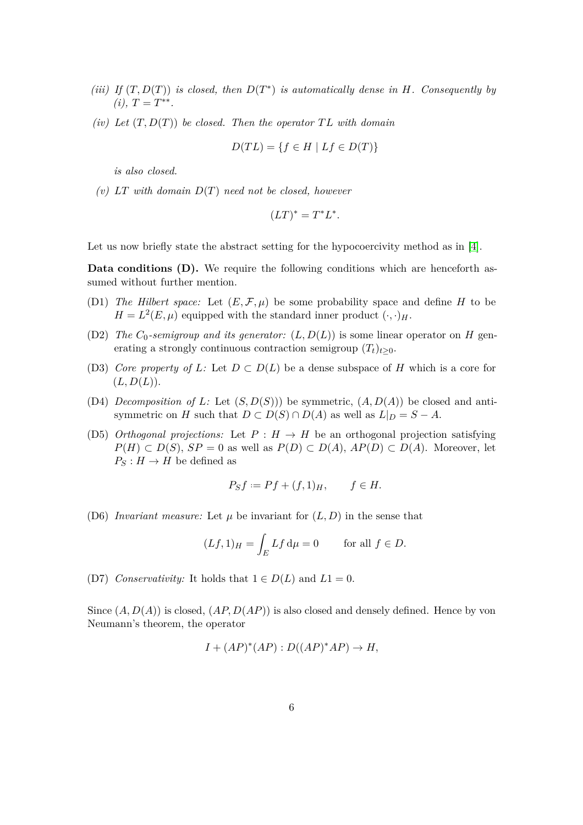- *(iii)* If  $(T, D(T))$  *is closed, then*  $D(T^*)$  *is automatically dense in H. Consequently by*  $(i), T = T^{**}.$
- *(iv)* Let  $(T, D(T))$  be closed. Then the operator  $TL$  with domain

$$
D(TL) = \{ f \in H \mid Lf \in D(T) \}
$$

*is also closed.*

*(v) LT with domain D*(*T*) *need not be closed, however*

$$
(LT)^* = T^*L^*.
$$

Let us now briefly state the abstract setting for the hypocoercivity method as in [\[4\]](#page-28-3).

<span id="page-5-0"></span>**Data conditions (D).** We require the following conditions which are henceforth assumed without further mention.

- (D1) *The Hilbert space:* Let  $(E, \mathcal{F}, \mu)$  be some probability space and define *H* to be  $H = L^2(E, \mu)$  equipped with the standard inner product  $(\cdot, \cdot)_H$ .
- (D2) *The*  $C_0$ -semigroup and its generator:  $(L, D(L))$  is some linear operator on *H* generating a strongly continuous contraction semigroup  $(T_t)_{t>0}$ .
- (D3) *Core property of L:* Let  $D \subset D(L)$  be a dense subspace of *H* which is a core for  $(L, D(L)).$
- (D4) *Decomposition of L*: Let  $(S, D(S))$  be symmetric,  $(A, D(A))$  be closed and antisymmetric on *H* such that  $D \subset D(S) \cap D(A)$  as well as  $L|_D = S - A$ .
- (D5) *Orthogonal projections:* Let  $P : H \to H$  be an orthogonal projection satisfying *P*(*H*) ⊂ *D*(*S*)*, SP* = 0 as well as *P*(*D*) ⊂ *D*(*A*)*, AP*(*D*) ⊂ *D*(*A*). Moreover, let  $P_S: H \to H$  be defined as

$$
P_S f := Pf + (f, 1)_H, \qquad f \in H.
$$

(D6) *Invariant measure:* Let  $\mu$  be invariant for  $(L, D)$  in the sense that

$$
(Lf, 1)_H = \int_E Lf \, d\mu = 0 \qquad \text{for all } f \in D.
$$

(D7) *Conservativity:* It holds that  $1 \in D(L)$  and  $L1 = 0$ .

Since (*A, D*(*A*)) is closed, (*AP, D*(*AP*)) is also closed and densely defined. Hence by von Neumann's theorem, the operator

$$
I + (AP)^*(AP) : D((AP)^*AP) \to H,
$$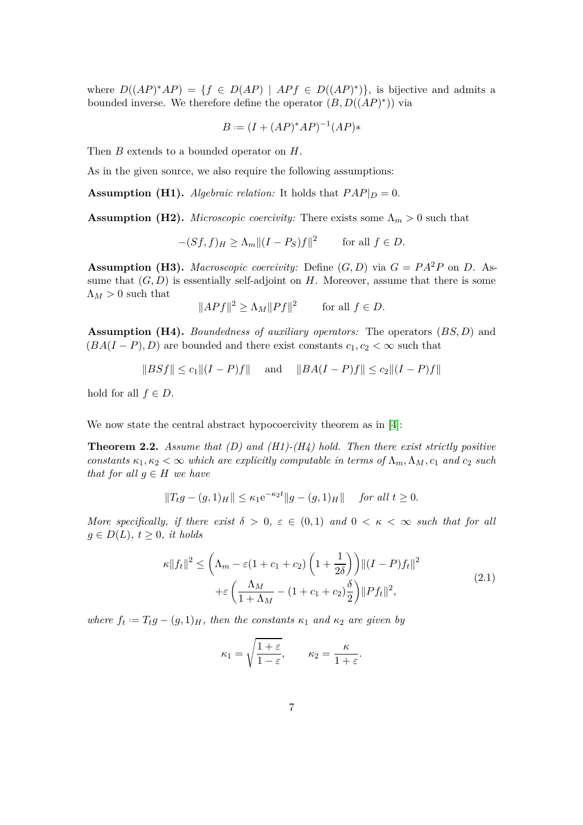where  $D((AP)^*AP) = \{f \in D(AP) \mid APf \in D((AP)^*)\}$ , is bijective and admits a bounded inverse. We therefore define the operator  $(B, D((AP)^*))$  via

$$
B := (I + (AP)^*AP)^{-1}(AP) *
$$

Then *B* extends to a bounded operator on *H*.

As in the given source, we also require the following assumptions:

**Assumption (H1).** *Algebraic relation:* It holds that  $PAP|_D = 0$ .

**Assumption (H2).** *Microscopic coercivity:* There exists some  $\Lambda_m > 0$  such that

<span id="page-6-3"></span><span id="page-6-2"></span><span id="page-6-0"></span>
$$
-(Sf, f)_H \ge \Lambda_m ||(I - P_S)f||^2 \qquad \text{for all } f \in D.
$$

**Assumption (H3).** *Macroscopic coercivity:* Define  $(G, D)$  via  $G = PA^2P$  on D. Assume that  $(G, D)$  is essentially self-adjoint on *H*. Moreover, assume that there is some  $\Lambda_M > 0$  such that

<span id="page-6-4"></span>
$$
||APf||^2 \ge \Lambda_M ||Pf||^2 \quad \text{for all } f \in D.
$$

**Assumption (H4).** *Boundedness of auxiliary operators:* The operators (*BS, D*) and  $(BA(I-P), D)$  are bounded and there exist constants  $c_1, c_2 < \infty$  such that

<span id="page-6-1"></span>
$$
||B S f|| \le c_1 ||(I - P)f||
$$
 and  $||BA(I - P)f|| \le c_2 ||(I - P)f||$ 

hold for all  $f \in D$ .

We now state the central abstract hypocoercivity theorem as in [\[4\]](#page-28-3):

**Theorem 2.2.** *Assume that (D) and (H1)-(H4) hold. Then there exist strictly positive constants*  $\kappa_1, \kappa_2 < \infty$  *which are explicitly computable in terms of*  $\Lambda_m, \Lambda_M, c_1$  *and*  $c_2$  *such that for all*  $g \in H$  *we have* 

$$
||T_t g - (g, 1)_H|| \le \kappa_1 e^{-\kappa_2 t} ||g - (g, 1)_H||
$$
 for all  $t \ge 0$ .

*More specifically, if there exist*  $\delta > 0$ ,  $\varepsilon \in (0,1)$  and  $0 < \kappa < \infty$  such that for all  $g \in D(L)$ ,  $t \geq 0$ , *it holds* 

<span id="page-6-5"></span>
$$
\kappa ||f_t||^2 \le \left(\Lambda_m - \varepsilon (1 + c_1 + c_2) \left(1 + \frac{1}{2\delta}\right)\right) ||(I - P)f_t||^2
$$
  
 
$$
+ \varepsilon \left(\frac{\Lambda_M}{1 + \Lambda_M} - (1 + c_1 + c_2) \frac{\delta}{2}\right) ||Pf_t||^2,
$$
 (2.1)

*where*  $f_t := T_t g - (g, 1)H$ , then the constants  $\kappa_1$  and  $\kappa_2$  are given by

$$
\kappa_1 = \sqrt{\frac{1+\varepsilon}{1-\varepsilon}}, \qquad \kappa_2 = \frac{\kappa}{1+\varepsilon}.
$$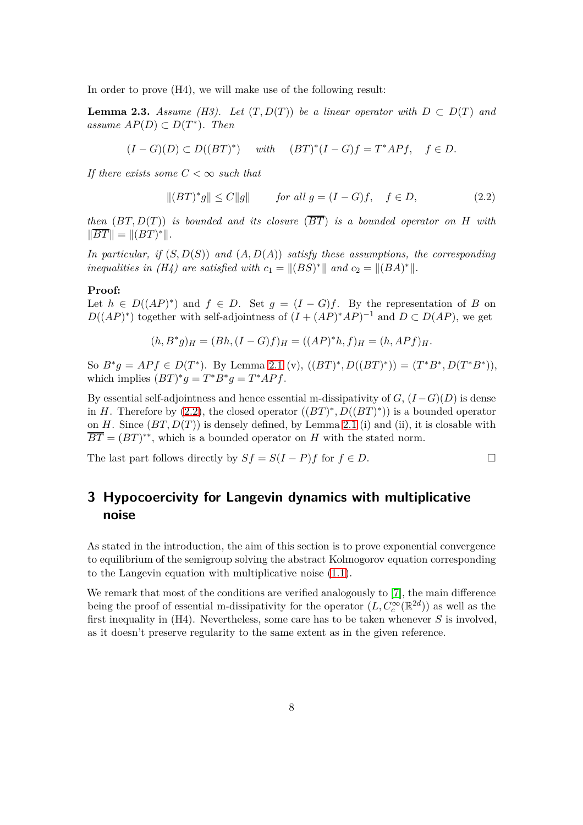In order to prove (H4), we will make use of the following result:

**Lemma 2.3.** *Assume (H3).* Let  $(T, D(T))$  be a linear operator with  $D \subset D(T)$  and *<i>. Then* 

$$
(I-G)(D) \subset D((BT)^*) \quad \text{ with } \quad (BT)^*(I-G)f = T^*APf, \quad f \in D.
$$

*If there exists some*  $C < \infty$  *such that* 

<span id="page-7-1"></span><span id="page-7-0"></span>
$$
||(BT)^*g|| \le C||g|| \qquad \text{for all } g = (I - G)f, \quad f \in D,
$$
\n
$$
(2.2)
$$

*then* (*BT, D*(*T*)) *is bounded and its closure* (*BT*) *is a bounded operator on H with*  $||BT|| = ||(BT)^*||.$ 

*In particular, if* (*S, D*(*S*)) *and* (*A, D*(*A*)) *satisfy these assumptions, the corresponding inequalities in (H4) are satisfied with*  $c_1 = ||(BS)^*||$  *and*  $c_2 = ||(BA)^*||$ .

#### **Proof:**

Let  $h \in D((AP)^*)$  and  $f \in D$ . Set  $g = (I - G)f$ . By the representation of *B* on  $D((AP)^*)$  together with self-adjointness of  $(I + (AP)^*AP)^{-1}$  and  $D \subset D(AP)$ , we get

$$
(h, B^*g)_H = (Bh, (I - G)f)_H = ((AP)^*h, f)_H = (h, APf)_H.
$$

So  $B^*g = APf \in D(T^*)$ . By Lemma [2.1](#page-4-0) (v),  $((BT)^*, D((BT)^*)) = (T^*B^*, D(T^*B^*))$ , which implies  $(BT)^*g = T^*B^*g = T^*APf$ .

By essential self-adjointness and hence essential m-dissipativity of  $G$ ,  $(I - G)(D)$  is dense in *H*. Therefore by  $(2.2)$ , the closed operator  $((BT)^*, D((BT)^*))$  is a bounded operator on  $H$ . Since  $(BT, D(T))$  is densely defined, by Lemma [2.1](#page-4-0) (i) and (ii), it is closable with  $BT = (BT)^{**}$ , which is a bounded operator on *H* with the stated norm.

The last part follows directly by  $Sf = S(I - P)f$  for  $f \in D$ .

## **3 Hypocoercivity for Langevin dynamics with multiplicative noise**

As stated in the introduction, the aim of this section is to prove exponential convergence to equilibrium of the semigroup solving the abstract Kolmogorov equation corresponding to the Langevin equation with multiplicative noise [\(1.1\)](#page-1-1).

We remark that most of the conditions are verified analogously to [\[7\]](#page-28-6), the main difference being the proof of essential m-dissipativity for the operator  $(L, C_c^{\infty}(\mathbb{R}^{2d}))$  as well as the first inequality in (H4). Nevertheless, some care has to be taken whenever *S* is involved, as it doesn't preserve regularity to the same extent as in the given reference.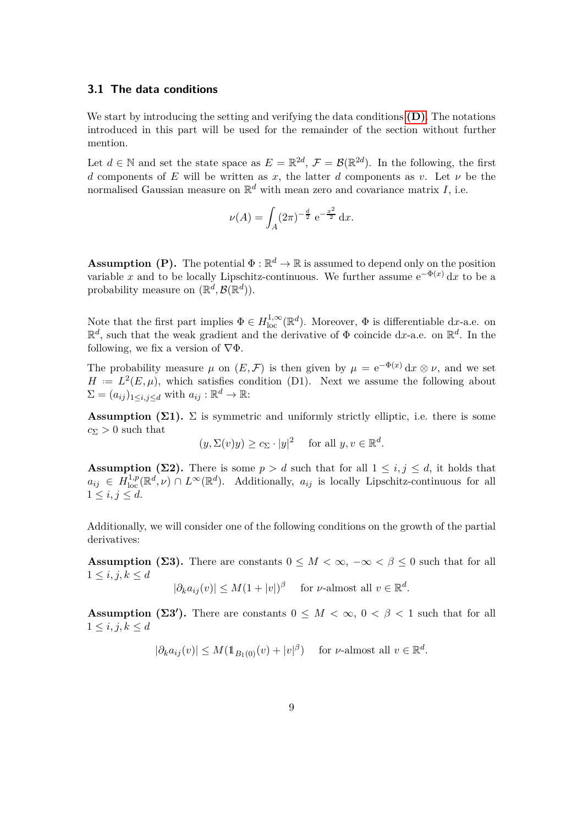## <span id="page-8-5"></span>**3.1 The data conditions**

We start by introducing the setting and verifying the data conditions **[\(D\)](#page-5-0)**. The notations introduced in this part will be used for the remainder of the section without further mention.

Let  $d \in \mathbb{N}$  and set the state space as  $E = \mathbb{R}^{2d}$ ,  $\mathcal{F} = \mathcal{B}(\mathbb{R}^{2d})$ . In the following, the first *d* components of *E* will be written as *x*, the latter *d* components as *v*. Let  $\nu$  be the normalised Gaussian measure on R *<sup>d</sup>* with mean zero and covariance matrix *I*, i.e.

$$
\nu(A) = \int_A (2\pi)^{-\frac{d}{2}} e^{-\frac{x^2}{2}} dx.
$$

<span id="page-8-4"></span>**Assumption (P).** The potential  $\Phi : \mathbb{R}^d \to \mathbb{R}$  is assumed to depend only on the position variable *x* and to be locally Lipschitz-continuous. We further assume  $e^{-\Phi(x)} dx$  to be a probability measure on  $(\mathbb{R}^d, \mathcal{B}(\mathbb{R}^d))$ .

Note that the first part implies  $\Phi \in H^{1,\infty}_{loc}(\mathbb{R}^d)$ . Moreover,  $\Phi$  is differentiable d*x*-a.e. on R *d* , such that the weak gradient and the derivative of Φ coincide d*x*-a.e. on R *d* . In the following, we fix a version of  $\nabla \Phi$ .

The probability measure  $\mu$  on  $(E, \mathcal{F})$  is then given by  $\mu = e^{-\Phi(x)} dx \otimes \nu$ , and we set  $H = L^2(E, \mu)$ , which satisfies condition (D1). Next we assume the following about  $\Sigma = (a_{ij})_{1 \leq i,j \leq d}$  with  $a_{ij} : \mathbb{R}^d \to \mathbb{R}$ :

**Assumption (** $\Sigma$ **1).**  $\Sigma$  is symmetric and uniformly strictly elliptic, i.e. there is some  $c_{\Sigma} > 0$  such that

<span id="page-8-3"></span><span id="page-8-0"></span>
$$
(y, \Sigma(v)y) \ge c_{\Sigma} \cdot |y|^2
$$
 for all  $y, v \in \mathbb{R}^d$ .

**Assumption (** $\Sigma$ **2).** There is some  $p > d$  such that for all  $1 \leq i, j \leq d$ , it holds that  $a_{ij} \in H^{1,p}_{loc}(\mathbb{R}^d, \nu) \cap L^{\infty}(\mathbb{R}^d)$ . Additionally,  $a_{ij}$  is locally Lipschitz-continuous for all  $1 \leq i, j \leq d$ .

Additionally, we will consider one of the following conditions on the growth of the partial derivatives:

**Assumption (** $\Sigma$ **3).** There are constants  $0 \leq M < \infty$ ,  $-\infty < \beta \leq 0$  such that for all  $1 \le i, j, k \le d$ 

<span id="page-8-1"></span>
$$
|\partial_k a_{ij}(v)| \le M(1+|v|)^\beta \quad \text{ for } \nu\text{-almost all } v \in \mathbb{R}^d.
$$

**Assumption (** $\Sigma 3'$ **). There are constants**  $0 \leq M < \infty$ **,**  $0 < \beta < 1$  **such that for all**  $1 \leq i, j, k \leq d$ 

<span id="page-8-2"></span>
$$
|\partial_k a_{ij}(v)| \le M(\mathbb{1}_{B_1(0)}(v) + |v|^\beta) \quad \text{ for } \nu\text{-almost all } v \in \mathbb{R}^d.
$$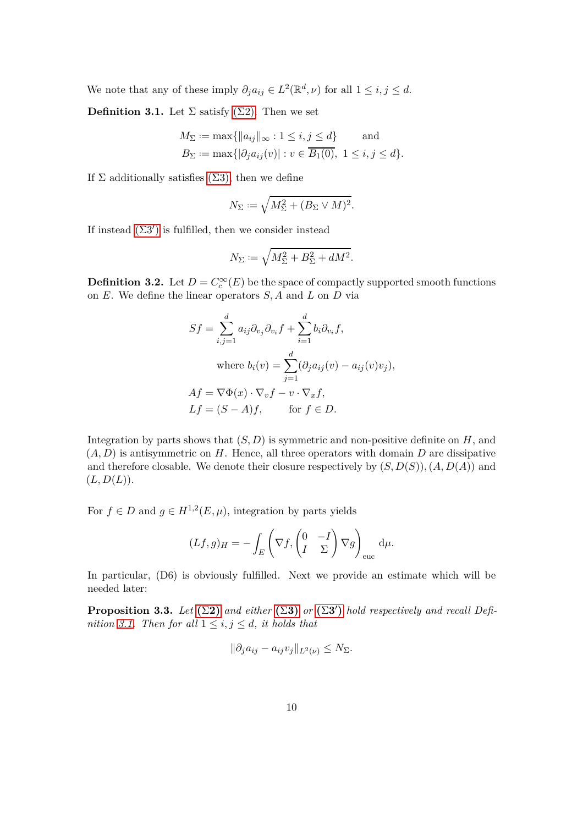We note that any of these imply  $\partial_j a_{ij} \in L^2(\mathbb{R}^d, \nu)$  for all  $1 \le i, j \le d$ .

**Definition 3.1.** Let  $\Sigma$  satisfy  $(\Sigma 2)$ . Then we set

$$
M_{\Sigma} := \max\{\|a_{ij}\|_{\infty} : 1 \le i, j \le d\} \quad \text{and} \quad B_{\Sigma} := \max\{|\partial_j a_{ij}(v)| : v \in \overline{B_1(0)}, 1 \le i, j \le d\}.
$$

If  $\Sigma$  additionally satisfies  $(\Sigma 3)$ , then we define

<span id="page-9-0"></span>
$$
N_{\Sigma} := \sqrt{M_{\Sigma}^2 + (B_{\Sigma} \vee M)^2}.
$$

If instead  $(\Sigma 3')$  is fulfilled, then we consider instead

$$
N_{\Sigma} := \sqrt{M_{\Sigma}^2 + B_{\Sigma}^2 + dM^2}.
$$

<span id="page-9-2"></span>**Definition 3.2.** Let  $D = C_c^{\infty}(E)$  be the space of compactly supported smooth functions on *E*. We define the linear operators *S, A* and *L* on *D* via

$$
Sf = \sum_{i,j=1}^{d} a_{ij} \partial_{v_j} \partial_{v_i} f + \sum_{i=1}^{d} b_i \partial_{v_i} f,
$$
  
where  $b_i(v) = \sum_{j=1}^{d} (\partial_j a_{ij}(v) - a_{ij}(v)v_j),$   

$$
Af = \nabla \Phi(x) \cdot \nabla_v f - v \cdot \nabla_x f,
$$
  

$$
Lf = (S - A)f, \quad \text{for } f \in D.
$$

Integration by parts shows that  $(S, D)$  is symmetric and non-positive definite on  $H$ , and (*A, D*) is antisymmetric on *H*. Hence, all three operators with domain *D* are dissipative and therefore closable. We denote their closure respectively by  $(S, D(S))$ ,  $(A, D(A))$  and  $(L, D(L)).$ 

For  $f \in D$  and  $g \in H^{1,2}(E,\mu)$ , integration by parts yields

$$
(Lf,g)_H = -\int_E \left(\nabla f, \begin{pmatrix} 0 & -I \\ I & \Sigma \end{pmatrix} \nabla g\right)_{\text{euc}} d\mu.
$$

<span id="page-9-1"></span>In particular,  $(D6)$  is obviously fulfilled. Next we provide an estimate which will be needed later:

**Proposition 3.3.** *Let*  $(\Sigma 2)$  $(\Sigma 2)$  *and either*  $(\Sigma 3)$  $(\Sigma 3)$  *or*  $(\Sigma 3')$  *hold respectively and recall Definition* [3.1.](#page-9-0) Then for all  $1 \leq i, j \leq d$ , it holds that

$$
\|\partial_j a_{ij} - a_{ij} v_j\|_{L^2(\nu)} \le N_\Sigma.
$$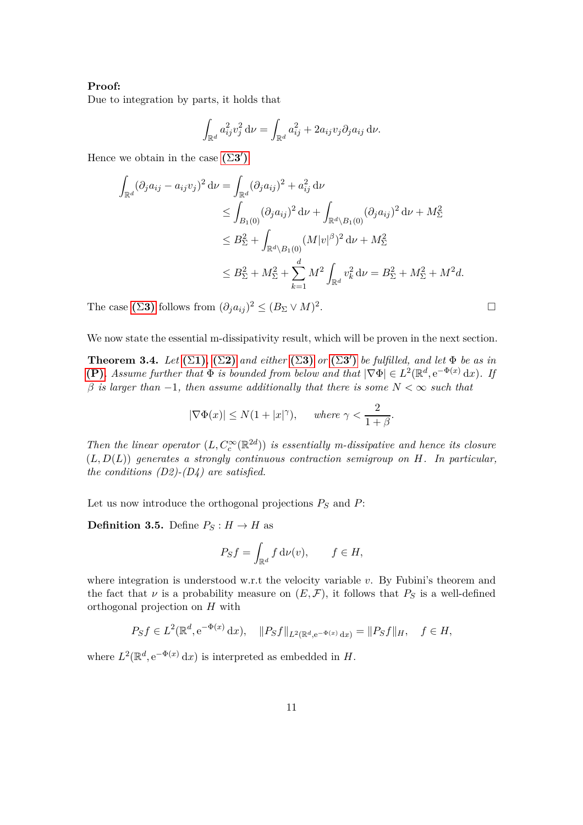#### **Proof:**

Due to integration by parts, it holds that

$$
\int_{\mathbb{R}^d} a_{ij}^2 v_j^2 \, \mathrm{d}\nu = \int_{\mathbb{R}^d} a_{ij}^2 + 2a_{ij} v_j \partial_j a_{ij} \, \mathrm{d}\nu.
$$

Hence we obtain in the case  $(\Sigma 3')$ 

$$
\int_{\mathbb{R}^d} (\partial_j a_{ij} - a_{ij} v_j)^2 d\nu = \int_{\mathbb{R}^d} (\partial_j a_{ij})^2 + a_{ij}^2 d\nu
$$
\n
$$
\leq \int_{B_1(0)} (\partial_j a_{ij})^2 d\nu + \int_{\mathbb{R}^d \setminus B_1(0)} (\partial_j a_{ij})^2 d\nu + M_{\Sigma}^2
$$
\n
$$
\leq B_{\Sigma}^2 + \int_{\mathbb{R}^d \setminus B_1(0)} (M|v|^{\beta})^2 d\nu + M_{\Sigma}^2
$$
\n
$$
\leq B_{\Sigma}^2 + M_{\Sigma}^2 + \sum_{k=1}^d M^2 \int_{\mathbb{R}^d} v_k^2 d\nu = B_{\Sigma}^2 + M_{\Sigma}^2 + M^2 d.
$$

The case ( $\Sigma$ [3\)](#page-8-1) follows from  $(\partial_j a_{ij})^2 \leq (B_{\Sigma} \vee M)^2$ 

We now state the essential m-dissipativity result, which will be proven in the next section.

**Theorem 3.4.** *Let*  $(\Sigma 1)$  $(\Sigma 1)$ ,  $(\Sigma 2)$  $(\Sigma 2)$  *and either*  $(\Sigma 3)$  $(\Sigma 3)$  *or*  $(\Sigma 3')$  *be fulfilled, and let*  $\Phi$  *be as in* **[\(P\)](#page-8-4)***. Assume further that*  $\Phi$  *is bounded from below and that*  $|\nabla \Phi| \in L^2(\mathbb{R}^d, e^{-\Phi(x)} dx)$ *. If β is larger than* −1*, then assume additionally that there is some N <* ∞ *such that*

$$
|\nabla \Phi(x)| \le N(1+|x|^\gamma)
$$
, where  $\gamma < \frac{2}{1+\beta}$ .

*Then the linear operator*  $(L, C_c^{\infty}(\mathbb{R}^{2d}))$  *is essentially m-dissipative and hence its closure* (*L, D*(*L*)) *generates a strongly continuous contraction semigroup on H. In particular, the conditions (D2)-(D4) are satisfied.*

Let us now introduce the orthogonal projections *P<sup>S</sup>* and *P*:

**Definition 3.5.** Define  $P_S: H \to H$  as

$$
P_S f = \int_{\mathbb{R}^d} f \, \mathrm{d}\nu(v), \qquad f \in H,
$$

where integration is understood w.r.t the velocity variable *v*. By Fubini's theorem and the fact that  $\nu$  is a probability measure on  $(E, \mathcal{F})$ , it follows that  $P_S$  is a well-defined orthogonal projection on *H* with

$$
P_S f \in L^2(\mathbb{R}^d, e^{-\Phi(x)} dx), \quad ||P_S f||_{L^2(\mathbb{R}^d, e^{-\Phi(x)} dx)} = ||P_S f||_H, \quad f \in H,
$$

where  $L^2(\mathbb{R}^d, e^{-\Phi(x)} dx)$  is interpreted as embedded in *H*.

<span id="page-10-0"></span>.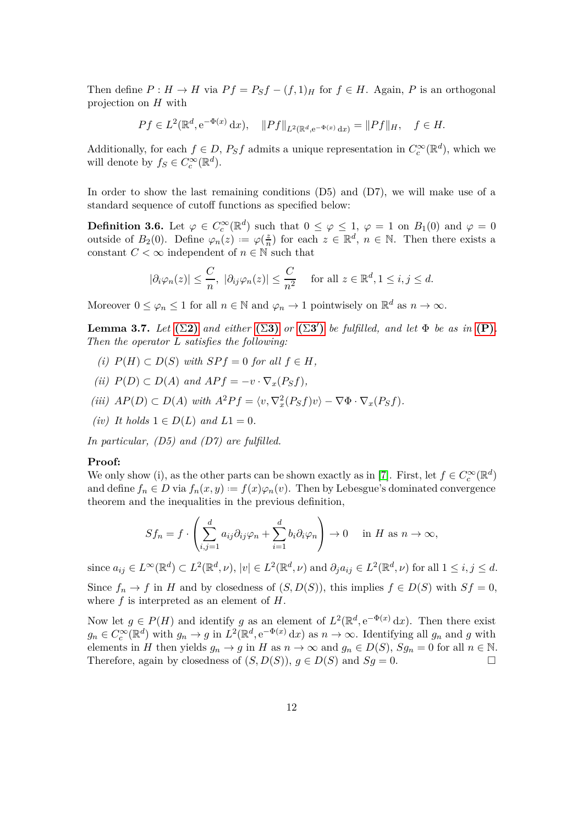Then define  $P: H \to H$  via  $Pf = P_Sf - (f, 1)_H$  for  $f \in H$ . Again, P is an orthogonal projection on *H* with

$$
Pf \in L^{2}(\mathbb{R}^{d}, e^{-\Phi(x)} dx), \quad ||Pf||_{L^{2}(\mathbb{R}^{d}, e^{-\Phi(x)} dx)} = ||Pf||_{H}, \quad f \in H.
$$

Additionally, for each  $f \in D$ ,  $P_S f$  admits a unique representation in  $C_c^{\infty}(\mathbb{R}^d)$ , which we will denote by  $f_S \in C_c^{\infty}(\mathbb{R}^d)$ .

In order to show the last remaining conditions (D5) and (D7), we will make use of a standard sequence of cutoff functions as specified below:

**Definition 3.6.** Let  $\varphi \in C_c^{\infty}(\mathbb{R}^d)$  such that  $0 \leq \varphi \leq 1$ ,  $\varphi = 1$  on  $B_1(0)$  and  $\varphi = 0$ outside of  $B_2(0)$ . Define  $\varphi_n(z) := \varphi(\frac{z}{n})$  $\frac{z}{n}$ ) for each  $z \in \mathbb{R}^d$ ,  $n \in \mathbb{N}$ . Then there exists a constant  $C < \infty$  independent of  $n \in \mathbb{N}$  such that

<span id="page-11-0"></span>
$$
|\partial_i \varphi_n(z)| \le \frac{C}{n}, \ |\partial_{ij} \varphi_n(z)| \le \frac{C}{n^2} \quad \text{ for all } z \in \mathbb{R}^d, 1 \le i, j \le d.
$$

Moreover  $0 \leq \varphi_n \leq 1$  for all  $n \in \mathbb{N}$  and  $\varphi_n \to 1$  pointwisely on  $\mathbb{R}^d$  as  $n \to \infty$ .

**Lemma 3.7.** *Let*  $(\Sigma 2)$  $(\Sigma 2)$  *and either*  $(\Sigma 3)$  $(\Sigma 3)$  *or*  $(\Sigma 3')$  *be fulfilled, and let*  $\Phi$  *be as in*  $(P)$ *. Then the operator L satisfies the following:*

- *(i)*  $P(H) ⊂ D(S)$  *with*  $SPf = 0$  *for all*  $f ∈ H$ *,*
- *(ii)*  $P(D) ⊂ D(A)$  *and*  $APf = -v ⋅ ∇<sub>x</sub>(P<sub>S</sub>f)$ *,*
- $(iii)$   $AP(D) \subset D(A)$  *with*  $A^2Pf = \langle v, \nabla_x^2(P_Sf)v \rangle \nabla \Phi \cdot \nabla_x(P_Sf)$ .
- $(iv)$  *It holds*  $1 \in D(L)$  *and*  $L1 = 0$ *.*

*In particular, (D5) and (D7) are fulfilled.*

#### **Proof:**

We only show (i), as the other parts can be shown exactly as in [\[7\]](#page-28-6). First, let  $f \in C_c^{\infty}(\mathbb{R}^d)$ and define  $f_n \in D$  via  $f_n(x, y) := f(x)\varphi_n(v)$ . Then by Lebesgue's dominated convergence theorem and the inequalities in the previous definition,

$$
Sf_n = f \cdot \left( \sum_{i,j=1}^d a_{ij} \partial_{ij} \varphi_n + \sum_{i=1}^d b_i \partial_i \varphi_n \right) \to 0 \quad \text{in } H \text{ as } n \to \infty,
$$

since  $a_{ij} \in L^{\infty}(\mathbb{R}^d) \subset L^2(\mathbb{R}^d, \nu)$ ,  $|v| \in L^2(\mathbb{R}^d, \nu)$  and  $\partial_j a_{ij} \in L^2(\mathbb{R}^d, \nu)$  for all  $1 \le i, j \le d$ . Since  $f_n \to f$  in *H* and by closedness of  $(S, D(S))$ , this implies  $f \in D(S)$  with  $Sf = 0$ , where *f* is interpreted as an element of *H*.

Now let  $g \in P(H)$  and identify *g* as an element of  $L^2(\mathbb{R}^d, e^{-\Phi(x)} dx)$ . Then there exist  $g_n \in C_c^{\infty}(\mathbb{R}^d)$  with  $g_n \to g$  in  $L^2(\mathbb{R}^d, e^{-\Phi(x)} dx)$  as  $n \to \infty$ . Identifying all  $g_n$  and *g* with elements in *H* then yields  $g_n \to g$  in *H* as  $n \to \infty$  and  $g_n \in D(S)$ ,  $Sg_n = 0$  for all  $n \in \mathbb{N}$ .<br>Therefore, again by closedness of  $(S, D(S))$ ,  $a \in D(S)$  and  $Sa = 0$ Therefore, again by closedness of  $(S, D(S))$ ,  $q \in D(S)$  and  $Sq = 0$ .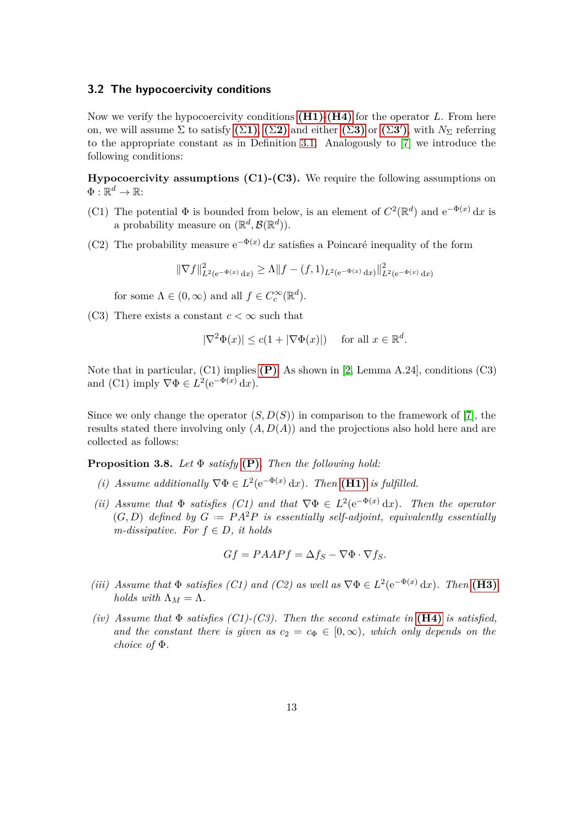#### **3.2 The hypocoercivity conditions**

Now we verify the hypocoercivity conditions **[\(H1\)](#page-6-0)**-**[\(H4\)](#page-6-1)** for the operator *L*. From here on, we will assume  $\Sigma$  to satisfy  $(\Sigma 1)$  $(\Sigma 1)$ ,  $(\Sigma 2)$  $(\Sigma 2)$  and either  $(\Sigma 3)$  $(\Sigma 3)$  or  $(\Sigma 3')$ , with  $N_{\Sigma}$  referring to the appropriate constant as in Definition [3.1.](#page-9-0) Analogously to [\[7\]](#page-28-6) we introduce the following conditions:

**Hypocoercivity assumptions (C1)-(C3).** We require the following assumptions on  $\Phi: \mathbb{R}^d \to \mathbb{R}$ :

- (C1) The potential  $\Phi$  is bounded from below, is an element of  $C^2(\mathbb{R}^d)$  and  $e^{-\Phi(x)} dx$  is a probability measure on  $(\mathbb{R}^d, \mathcal{B}(\mathbb{R}^d))$ .
- (C2) The probability measure  $e^{-\Phi(x)} dx$  satisfies a Poincaré inequality of the form

<span id="page-12-0"></span> $\|\nabla f\|_{L^2(e^{-\Phi(x)} dx)}^2 \ge \Lambda \|f - (f, 1)_{L^2(e^{-\Phi(x)} dx)}\|_{L^2(e^{-\Phi(x)} dx)}^2$ 

for some  $\Lambda \in (0, \infty)$  and all  $f \in C_c^{\infty}(\mathbb{R}^d)$ .

(C3) There exists a constant  $c < \infty$  such that

$$
|\nabla^2 \Phi(x)| \le c(1 + |\nabla \Phi(x)|) \quad \text{ for all } x \in \mathbb{R}^d.
$$

Note that in particular, (C1) implies **[\(P\)](#page-8-4)**. As shown in [\[2,](#page-28-1) Lemma A.24], conditions (C3) and (C1) imply  $\nabla \Phi \in L^2(e^{-\Phi(x)} dx)$ .

Since we only change the operator  $(S, D(S))$  in comparison to the framework of [\[7\]](#page-28-6), the results stated there involving only (*A, D*(*A*)) and the projections also hold here and are collected as follows:

**Proposition 3.8.** *Let* Φ *satisfy* **[\(P\)](#page-8-4)***. Then the following hold:*

- (*i*) Assume additionally  $\nabla \Phi \in L^2(e^{-\Phi(x)} dx)$ . Then **[\(H1\)](#page-6-0)** is fulfilled.
- (*ii*) Assume that  $\Phi$  *satisfies* (C1) and that  $\nabla \Phi \in L^2(e^{-\Phi(x)} dx)$ . Then the operator  $(G, D)$  *defined by*  $G := PA^2P$  *is essentially self-adjoint, equivalently essentially m-dissipative.* For  $f \in D$ , *it holds*

$$
Gf = PAAPf = \Delta f_S - \nabla \Phi \cdot \nabla f_S.
$$

- (*iii*) Assume that  $\Phi$  *satisfies* (C1) and (C2) as well as  $\nabla \Phi \in L^2(e^{-\Phi(x)} dx)$ . Then (**H3)** *holds with*  $\Lambda_M = \Lambda$ .
- $(iv)$  Assume that  $\Phi$  *satisfies*  $(Cl)$ - $(C3)$ . Then the second estimate in **[\(H4\)](#page-6-1)** is satisfied, *and the constant there is given as*  $c_2 = c_{\Phi} \in [0, \infty)$ *, which only depends on the choice of* Φ*.*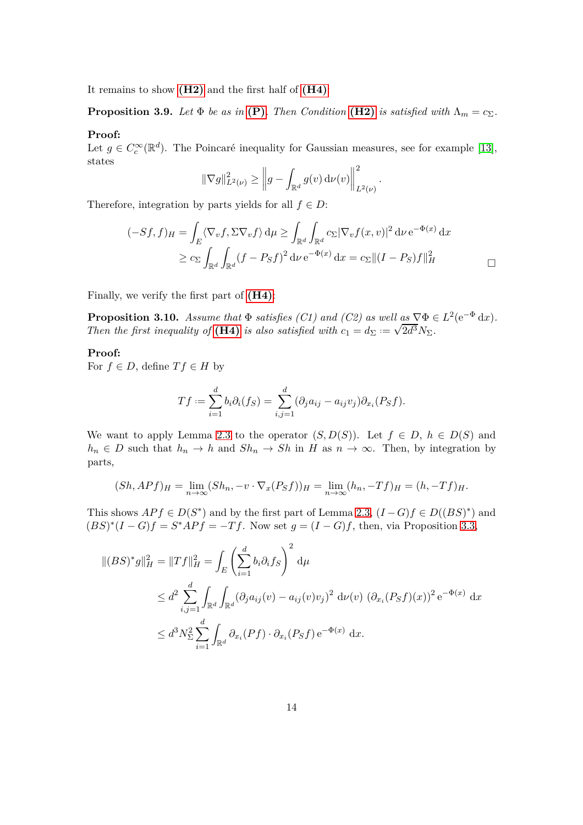It remains to show **[\(H2\)](#page-6-3)** and the first half of **[\(H4\)](#page-6-1)**:

**Proposition 3.9.** *Let*  $\Phi$  *be as in* **[\(P\)](#page-8-4)***. Then Condition* **[\(H2\)](#page-6-3)** *is satisfied with*  $\Lambda_m = c_{\Sigma}$ *.* 

#### **Proof:**

Let  $g \in C_c^{\infty}(\mathbb{R}^d)$ . The Poincaré inequality for Gaussian measures, see for example [\[13\]](#page-29-4), states

$$
\|\nabla g\|_{L^2(\nu)}^2 \ge \left\|g - \int_{\mathbb{R}^d} g(v) \, \mathrm{d}\nu(v)\right\|_{L^2(\nu)}^2.
$$

Therefore, integration by parts yields for all  $f \in D$ :

$$
(-Sf, f)_H = \int_E \langle \nabla_v f, \Sigma \nabla_v f \rangle d\mu \ge \int_{\mathbb{R}^d} \int_{\mathbb{R}^d} c_{\Sigma} |\nabla_v f(x, v)|^2 d\nu e^{-\Phi(x)} dx
$$
  

$$
\ge c_{\Sigma} \int_{\mathbb{R}^d} \int_{\mathbb{R}^d} (f - P_S f)^2 d\nu e^{-\Phi(x)} dx = c_{\Sigma} ||(I - P_S) f||_H^2
$$

Finally, we verify the first part of **[\(H4\)](#page-6-1)**:

**Proposition 3.10.** *Assume that*  $\Phi$  *satisfies (C1) and (C2) as well*  $\underline{\mathbf{a}}\mathbf{s} \nabla \Phi \in L^2(\mathbf{e}^{-\Phi} \, \mathrm{d}x)$ . *Then the first inequality of* **[\(H4\)](#page-6-1)** *is also satisfied with*  $c_1 = d_{\Sigma} := \sqrt{2d^3} N_{\Sigma}$ .

#### **Proof:**

For  $f \in D$ , define  $T f \in H$  by

<span id="page-13-0"></span>
$$
Tf := \sum_{i=1}^d b_i \partial_i (f_S) = \sum_{i,j=1}^d (\partial_j a_{ij} - a_{ij} v_j) \partial_{x_i} (P_S f).
$$

We want to apply Lemma [2.3](#page-7-1) to the operator  $(S, D(S))$ . Let  $f \in D$ ,  $h \in D(S)$  and  $h_n \in D$  such that  $h_n \to h$  and  $Sh_n \to Sh$  in *H* as  $n \to \infty$ . Then, by integration by parts,

$$
(Sh, APf)_H = \lim_{n \to \infty} (Sh_n, -v \cdot \nabla_x (P_S f))_H = \lim_{n \to \infty} (h_n, -Tf)_H = (h, -Tf)_H.
$$

This shows  $APf \in D(S^*)$  and by the first part of Lemma [2.3,](#page-7-1)  $(I - G)f \in D((BS)^*)$  and  $(BS)^*(I - G)f = S^*APf = -Tf$ . Now set  $g = (I - G)f$ , then, via Proposition [3.3,](#page-9-1)

$$
\begin{split} \|(BS)^*g\|_{H}^2 &= \|Tf\|_{H}^2 = \int_E \left(\sum_{i=1}^d b_i \partial_i f_S\right)^2 \, \mathrm{d}\mu \\ &\le d^2 \sum_{i,j=1}^d \int_{\mathbb{R}^d} \int_{\mathbb{R}^d} (\partial_j a_{ij}(v) - a_{ij}(v)v_j)^2 \, \mathrm{d}\nu(v) \, \left(\partial_{x_i}(P_S f)(x)\right)^2 \mathrm{e}^{-\Phi(x)} \, \mathrm{d}x \\ &\le d^3 N_{\Sigma}^2 \sum_{i=1}^d \int_{\mathbb{R}^d} \partial_{x_i}(P f) \cdot \partial_{x_i}(P_S f) \, \mathrm{e}^{-\Phi(x)} \, \mathrm{d}x. \end{split}
$$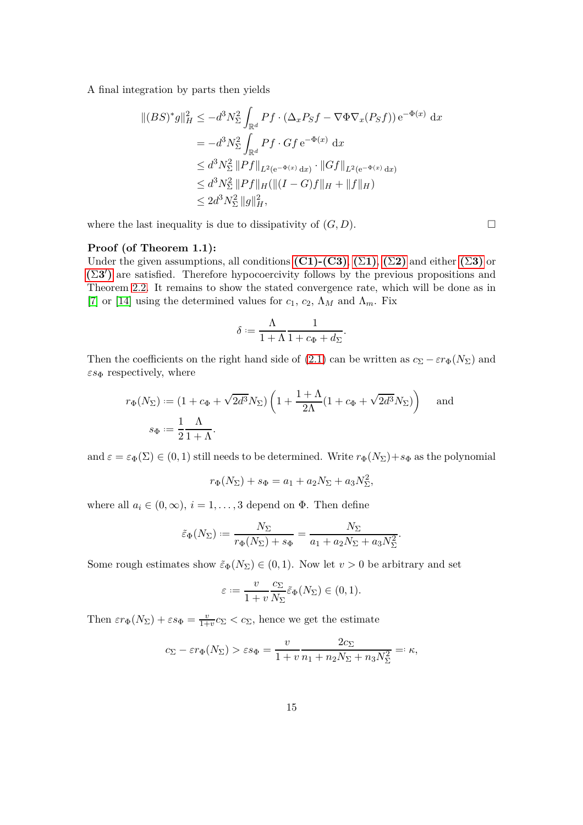A final integration by parts then yields

$$
\begin{split} \| (BS)^* g \|_H^2 &\leq -d^3 N_{\Sigma}^2 \int_{\mathbb{R}^d} Pf \cdot (\Delta_x P_S f - \nabla \Phi \nabla_x (P_S f)) e^{-\Phi(x)} dx \\ & = -d^3 N_{\Sigma}^2 \int_{\mathbb{R}^d} Pf \cdot G f e^{-\Phi(x)} dx \\ &\leq d^3 N_{\Sigma}^2 \| Pf \|_{L^2(e^{-\Phi(x)} dx)} \cdot \| Gf \|_{L^2(e^{-\Phi(x)} dx)} \\ &\leq d^3 N_{\Sigma}^2 \| Pf \|_H (\|(I - G)f \|_H + \|f\|_H) \\ &\leq 2d^3 N_{\Sigma}^2 \|g\|_H^2, \end{split}
$$

where the last inequality is due to dissipativity of  $(G, D)$ .

#### **Proof (of Theorem 1.1):**

Under the given assumptions, all conditions  $(C1)-(C3)$ ,  $(\Sigma1)$  $(\Sigma1)$ ,  $(\Sigma2)$  $(\Sigma2)$  and either  $(\Sigma3)$  $(\Sigma3)$  or **(**[Σ](#page-8-2)**3** ′ **)** are satisfied. Therefore hypocoercivity follows by the previous propositions and Theorem [2.2.](#page-6-4) It remains to show the stated convergence rate, which will be done as in [\[7\]](#page-28-6) or [\[14\]](#page-29-5) using the determined values for  $c_1$ ,  $c_2$ ,  $\Lambda_M$  and  $\Lambda_m$ . Fix

$$
\delta := \frac{\Lambda}{1+\Lambda} \frac{1}{1+c_{\Phi}+d_{\Sigma}}.
$$

Then the coefficients on the right hand side of [\(2.1\)](#page-6-5) can be written as  $c_{\Sigma} - \varepsilon r_{\Phi}(N_{\Sigma})$  and  $\varepsilon s_{\Phi}$  respectively, where

$$
r_{\Phi}(N_{\Sigma}) := (1 + c_{\Phi} + \sqrt{2d^3} N_{\Sigma}) \left( 1 + \frac{1 + \Lambda}{2\Lambda} (1 + c_{\Phi} + \sqrt{2d^3} N_{\Sigma}) \right) \text{ and}
$$

$$
s_{\Phi} := \frac{1}{2} \frac{\Lambda}{1 + \Lambda}.
$$

and  $\varepsilon = \varepsilon_{\Phi}(\Sigma) \in (0,1)$  still needs to be determined. Write  $r_{\Phi}(N_{\Sigma}) + s_{\Phi}$  as the polynomial

$$
r_{\Phi}(N_{\Sigma}) + s_{\Phi} = a_1 + a_2 N_{\Sigma} + a_3 N_{\Sigma}^2,
$$

where all  $a_i \in (0, \infty)$ ,  $i = 1, \ldots, 3$  depend on  $\Phi$ . Then define

$$
\tilde{\varepsilon}_{\Phi}(N_{\Sigma}) := \frac{N_{\Sigma}}{r_{\Phi}(N_{\Sigma}) + s_{\Phi}} = \frac{N_{\Sigma}}{a_1 + a_2 N_{\Sigma} + a_3 N_{\Sigma}^2}.
$$

Some rough estimates show  $\tilde{\varepsilon}_{\Phi}(N_{\Sigma}) \in (0,1)$ . Now let  $v > 0$  be arbitrary and set

$$
\varepsilon := \frac{v}{1+v} \frac{c_{\Sigma}}{N_{\Sigma}} \tilde{\varepsilon}_{\Phi}(N_{\Sigma}) \in (0,1).
$$

Then  $\epsilon r_{\Phi}(N_{\Sigma}) + \epsilon s_{\Phi} = \frac{v}{1 + v}$  $\frac{v}{1+v}c_{\Sigma} < c_{\Sigma}$ , hence we get the estimate

$$
c_{\Sigma} - \varepsilon r_{\Phi}(N_{\Sigma}) > \varepsilon s_{\Phi} = \frac{v}{1+v} \frac{2c_{\Sigma}}{n_1 + n_2 N_{\Sigma} + n_3 N_{\Sigma}^2} =: \kappa,
$$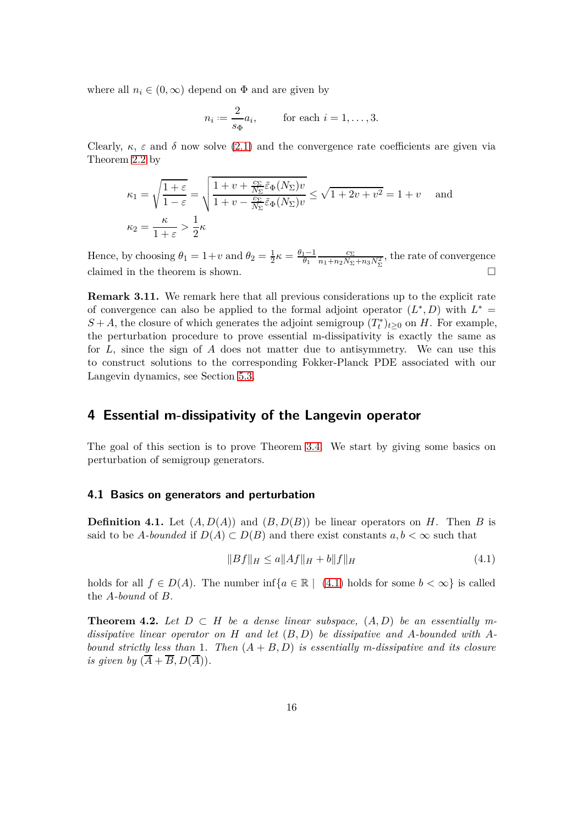where all  $n_i \in (0, \infty)$  depend on  $\Phi$  and are given by

$$
n_i := \frac{2}{s_{\Phi}} a_i, \quad \text{for each } i = 1, \dots, 3.
$$

Clearly,  $\kappa$ ,  $\varepsilon$  and  $\delta$  now solve [\(2.1\)](#page-6-5) and the convergence rate coefficients are given via Theorem [2.2](#page-6-4) by

$$
\kappa_1 = \sqrt{\frac{1+\varepsilon}{1-\varepsilon}} = \sqrt{\frac{1+v+\frac{c_{\Sigma}}{N_{\Sigma}}\tilde{\varepsilon}_{\Phi}(N_{\Sigma})v}{1+v-\frac{c_{\Sigma}}{N_{\Sigma}}\tilde{\varepsilon}_{\Phi}(N_{\Sigma})v}} \le \sqrt{1+2v+v^2} = 1+v \quad \text{and}
$$
  

$$
\kappa_2 = \frac{\kappa}{1+\varepsilon} > \frac{1}{2}\kappa
$$

Hence, by choosing  $\theta_1 = 1 + v$  and  $\theta_2 = \frac{1}{2}\kappa = \frac{\theta_1 - 1}{\theta_1}$  $\frac{c_{\Sigma}}{n_1+n_2N_{\Sigma}+n_3N_{\Sigma}^2}$ , the rate of convergence claimed in the theorem is shown.  $\Box$ 

<span id="page-15-1"></span>**Remark 3.11.** We remark here that all previous considerations up to the explicit rate of convergence can also be applied to the formal adjoint operator  $(L^*, D)$  with  $L^* =$  $S + A$ , the closure of which generates the adjoint semigroup  $(T_t^*)_{t \geq 0}$  on *H*. For example, the perturbation procedure to prove essential m-dissipativity is exactly the same as for *L*, since the sign of *A* does not matter due to antisymmetry. We can use this to construct solutions to the corresponding Fokker-Planck PDE associated with our Langevin dynamics, see Section [5.3.](#page-27-0)

## **4 Essential m-dissipativity of the Langevin operator**

The goal of this section is to prove Theorem [3.4.](#page-10-0) We start by giving some basics on perturbation of semigroup generators.

#### **4.1 Basics on generators and perturbation**

**Definition 4.1.** Let  $(A, D(A))$  and  $(B, D(B))$  be linear operators on *H*. Then *B* is said to be *A*-bounded if  $D(A) \subset D(B)$  and there exist constants  $a, b < \infty$  such that

<span id="page-15-0"></span>
$$
||Bf||_H \le a||Af||_H + b||f||_H \tag{4.1}
$$

holds for all  $f \in D(A)$ . The number inf $\{a \in \mathbb{R} \mid (4.1)$  $\{a \in \mathbb{R} \mid (4.1)$  holds for some  $b < \infty\}$  is called the *A-bound* of *B*.

**Theorem 4.2.** Let  $D \subset H$  be a dense linear subspace,  $(A, D)$  be an essentially m*dissipative linear operator on H and let* (*B, D*) *be dissipative and A-bounded with Abound strictly less than* 1*. Then* (*A* + *B, D*) *is essentially m-dissipative and its closure is given by*  $(\overline{A} + \overline{B}, D(\overline{A}))$ .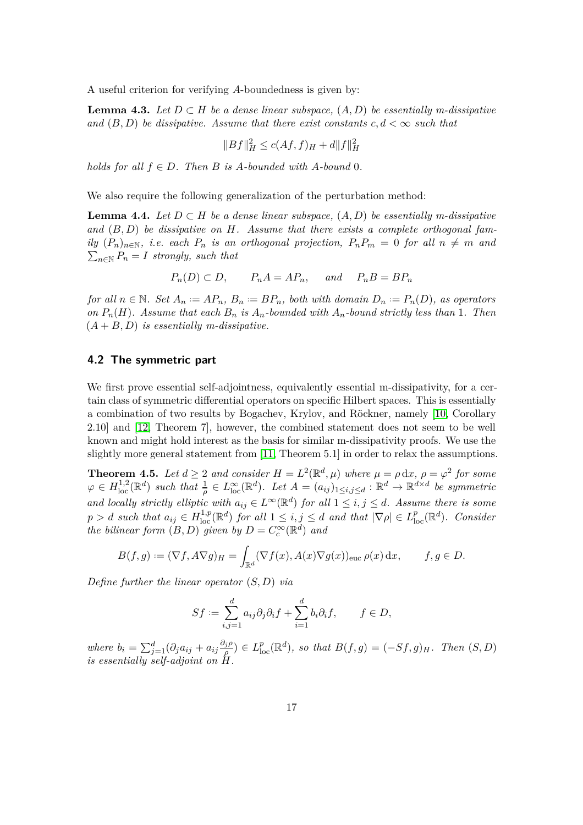A useful criterion for verifying *A*-boundedness is given by:

**Lemma 4.3.** Let  $D ⊂ H$  be a dense linear subspace,  $(A, D)$  be essentially m-dissipative *and*  $(B, D)$  *be dissipative. Assume that there exist constants*  $c, d < \infty$  *such that* 

<span id="page-16-2"></span><span id="page-16-1"></span>
$$
||Bf||_H^2 \le c(Af, f)_{H} + d||f||_H^2
$$

*holds for all*  $f \in D$ *. Then B is A-bounded with A-bound* 0*.* 

We also require the following generalization of the perturbation method:

**Lemma 4.4.** *Let*  $D ⊂ H$  *be a dense linear subspace,*  $(A, D)$  *be essentially m-dissipative and* (*B, D*) *be dissipative on H. Assume that there exists a complete orthogonal family*  $(P_n)_{n \in \mathbb{N}}$ *, i.e. each*  $P_n$  *is an orthogonal projection,*  $P_n P_m = 0$  *for all*  $n \neq m$  *and*  $\sum_{n \in \mathbb{N}} P_n = I$  *strongly, such that* 

 $P_n(D) \subset D$ ,  $P_nA = AP_n$ , and  $P_nB = BP_n$ 

for all  $n \in \mathbb{N}$ . Set  $A_n := AP_n$ ,  $B_n := BP_n$ , both with domain  $D_n := P_n(D)$ , as operators *on*  $P_n(H)$ *. Assume that each*  $B_n$  *is*  $A_n$ *-bounded with*  $A_n$ *-bound strictly less than* 1*. Then*  $(A + B, D)$  *is essentially m-dissipative.* 

#### **4.2 The symmetric part**

We first prove essential self-adjointness, equivalently essential m-dissipativity, for a certain class of symmetric differential operators on specific Hilbert spaces. This is essentially a combination of two results by Bogachev, Krylov, and Röckner, namely [\[10,](#page-29-1) Corollary 2.10] and [\[12,](#page-29-3) Theorem 7], however, the combined statement does not seem to be well known and might hold interest as the basis for similar m-dissipativity proofs. We use the slightly more general statement from [\[11,](#page-29-2) Theorem 5.1] in order to relax the assumptions.

**Theorem 4.5.** Let  $d \geq 2$  and consider  $H = L^2(\mathbb{R}^d, \mu)$  where  $\mu = \rho \, dx, \rho = \varphi^2$  for some  $\varphi \in H^{1,2}_{loc}(\mathbb{R}^d)$  such that  $\frac{1}{\rho} \in L^{\infty}_{loc}(\mathbb{R}^d)$ . Let  $A = (a_{ij})_{1 \leq i,j \leq d} : \mathbb{R}^d \to \mathbb{R}^{d \times d}$  be symmetric *and locally strictly elliptic with*  $a_{ij} \in L^{\infty}(\mathbb{R}^d)$  *for all*  $1 \le i, j \le d$ *. Assume there is some*  $p > d$  *such that*  $a_{ij} \in H^{1,p}_{loc}(\mathbb{R}^d)$  *for all*  $1 \leq i, j \leq d$  *and that*  $|\nabla \rho| \in L^p_{loc}(\mathbb{R}^d)$ *. Consider the bilinear form*  $(B, D)$  *given by*  $D = C_c^{\infty}(\mathbb{R}^d)$  *and* 

$$
B(f,g) := (\nabla f, A\nabla g)_H = \int_{\mathbb{R}^d} (\nabla f(x), A(x)\nabla g(x))_{\text{euc}} \,\rho(x) \,\mathrm{d}x, \qquad f, g \in D.
$$

*Define further the linear operator* (*S, D*) *via*

<span id="page-16-0"></span>
$$
Sf := \sum_{i,j=1}^d a_{ij} \partial_j \partial_i f + \sum_{i=1}^d b_i \partial_i f, \qquad f \in D,
$$

*where*  $b_i = \sum_{j=1}^d (\partial_j a_{ij} + a_{ij} \frac{\partial_j \rho_j}{\rho_j})$  $\frac{f_j(\rho)}{\rho}$   $\in$   $L^p_{loc}(\mathbb{R}^d)$ *, so that*  $B(f,g) = (-Sf, g)_H$ *. Then*  $(S, D)$ *is essentially self-adjoint on H.*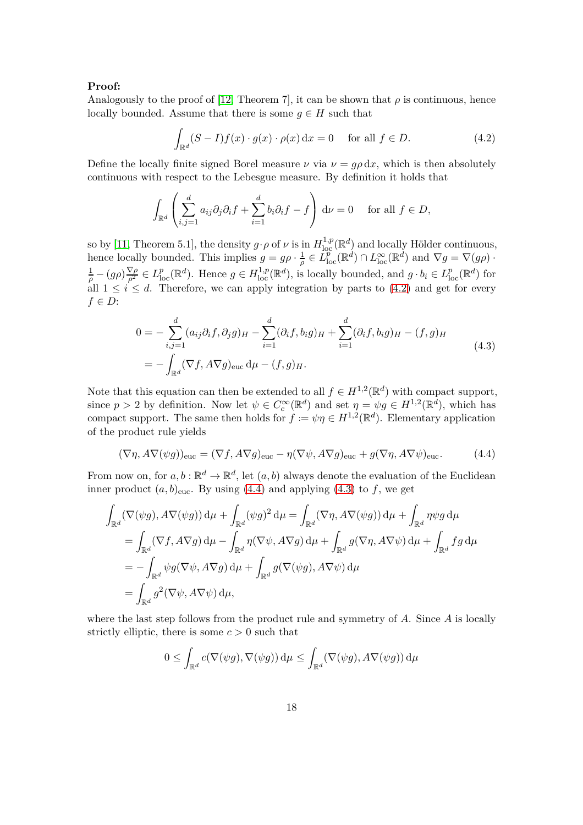#### **Proof:**

Analogously to the proof of [\[12,](#page-29-3) Theorem 7], it can be shown that  $\rho$  is continuous, hence locally bounded. Assume that there is some  $g \in H$  such that

<span id="page-17-0"></span>
$$
\int_{\mathbb{R}^d} (S - I) f(x) \cdot g(x) \cdot \rho(x) dx = 0 \quad \text{for all } f \in D.
$$
 (4.2)

Define the locally finite signed Borel measure  $\nu$  via  $\nu = q\rho dx$ , which is then absolutely continuous with respect to the Lebesgue measure. By definition it holds that

$$
\int_{\mathbb{R}^d} \left( \sum_{i,j=1}^d a_{ij} \partial_j \partial_i f + \sum_{i=1}^d b_i \partial_i f - f \right) d\nu = 0 \quad \text{for all } f \in D,
$$

so by [\[11,](#page-29-2) Theorem 5.1], the density  $g \cdot \rho$  of  $\nu$  is in  $H^{1,p}_{loc}(\mathbb{R}^d)$  and locally Hölder continuous, hence locally bounded. This implies  $g = g \rho \cdot \frac{1}{\rho}$  $\frac{1}{\rho} \in L^p_{loc}(\mathbb{R}^d) \cap L^{\infty}_{loc}(\mathbb{R}^d)$  and  $\nabla g = \nabla(g\rho)$ .  $\frac{1}{\rho} - (g\rho)\frac{\nabla \rho}{\rho^2} \in L^p_{loc}(\mathbb{R}^d)$ . Hence  $g \in H^{1,p}_{loc}(\mathbb{R}^d)$ , is locally bounded, and  $g \cdot b_i \in L^p_{loc}(\mathbb{R}^d)$  for all  $1 \leq i \leq d$ . Therefore, we can apply integration by parts to [\(4.2\)](#page-17-0) and get for every *f* ∈ *D*:

<span id="page-17-2"></span>
$$
0 = -\sum_{i,j=1}^{d} (a_{ij}\partial_i f, \partial_j g)_H - \sum_{i=1}^{d} (\partial_i f, b_i g)_H + \sum_{i=1}^{d} (\partial_i f, b_i g)_H - (f, g)_H
$$
  
= 
$$
-\int_{\mathbb{R}^d} (\nabla f, A\nabla g)_{\text{euc}} d\mu - (f, g)_H.
$$
 (4.3)

Note that this equation can then be extended to all  $f \in H^{1,2}(\mathbb{R}^d)$  with compact support, since  $p > 2$  by definition. Now let  $\psi \in C_c^{\infty}(\mathbb{R}^d)$  and set  $\eta = \psi g \in H^{1,2}(\mathbb{R}^d)$ , which has compact support. The same then holds for  $f := \psi \eta \in H^{1,2}(\mathbb{R}^d)$ . Elementary application of the product rule yields

<span id="page-17-1"></span>
$$
(\nabla \eta, A\nabla(\psi g))_{\text{euc}} = (\nabla f, A\nabla g)_{\text{euc}} - \eta(\nabla \psi, A\nabla g)_{\text{euc}} + g(\nabla \eta, A\nabla \psi)_{\text{euc}}.
$$
 (4.4)

From now on, for  $a, b : \mathbb{R}^d \to \mathbb{R}^d$ , let  $(a, b)$  always denote the evaluation of the Euclidean inner product  $(a, b)_{\text{euc}}$ . By using [\(4.4\)](#page-17-1) and applying [\(4.3\)](#page-17-2) to *f*, we get

$$
\int_{\mathbb{R}^d} (\nabla(\psi g), A\nabla(\psi g)) d\mu + \int_{\mathbb{R}^d} (\psi g)^2 d\mu = \int_{\mathbb{R}^d} (\nabla \eta, A\nabla(\psi g)) d\mu + \int_{\mathbb{R}^d} \eta \psi g d\mu
$$
  
\n
$$
= \int_{\mathbb{R}^d} (\nabla f, A\nabla g) d\mu - \int_{\mathbb{R}^d} \eta (\nabla \psi, A\nabla g) d\mu + \int_{\mathbb{R}^d} g(\nabla \eta, A\nabla \psi) d\mu + \int_{\mathbb{R}^d} f g d\mu
$$
  
\n
$$
= - \int_{\mathbb{R}^d} \psi g(\nabla \psi, A\nabla g) d\mu + \int_{\mathbb{R}^d} g(\nabla(\psi g), A\nabla \psi) d\mu
$$
  
\n
$$
= \int_{\mathbb{R}^d} g^2(\nabla \psi, A\nabla \psi) d\mu,
$$

where the last step follows from the product rule and symmetry of *A*. Since *A* is locally strictly elliptic, there is some  $c > 0$  such that

$$
0 \leq \int_{\mathbb{R}^d} c(\nabla(\psi g), \nabla(\psi g)) d\mu \leq \int_{\mathbb{R}^d} (\nabla(\psi g), A\nabla(\psi g)) d\mu
$$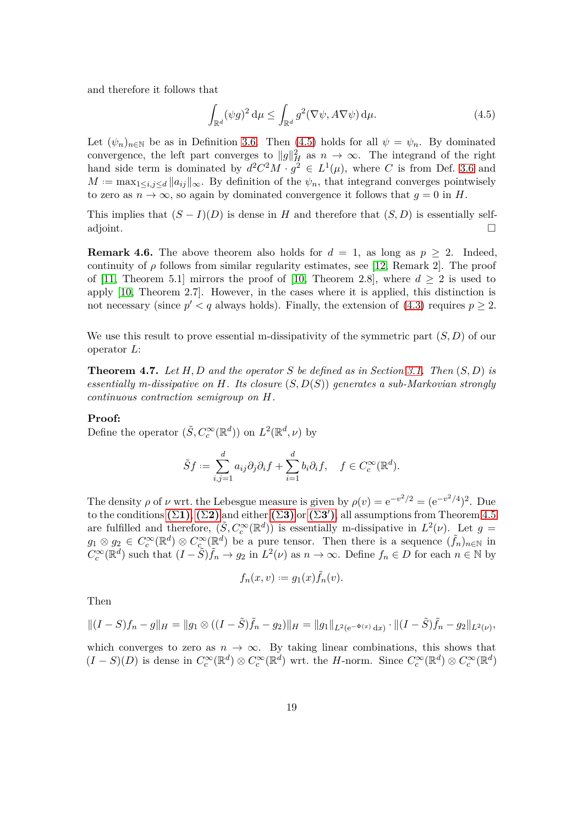and therefore it follows that

<span id="page-18-0"></span>
$$
\int_{\mathbb{R}^d} (\psi g)^2 \, \mathrm{d}\mu \le \int_{\mathbb{R}^d} g^2(\nabla \psi, A \nabla \psi) \, \mathrm{d}\mu. \tag{4.5}
$$

Let  $(\psi_n)_{n\in\mathbb{N}}$  be as in Definition [3.6.](#page-11-0) Then [\(4.5\)](#page-18-0) holds for all  $\psi = \psi_n$ . By dominated convergence, the left part converges to  $||g||_H^2$  as  $n \to \infty$ . The integrand of the right hand side term is dominated by  $d^2C^2M \cdot g^2 \in L^1(\mu)$ , where *C* is from Def. [3.6](#page-11-0) and  $M := \max_{1 \leq i,j \leq d} ||a_{ij}||_{\infty}$ . By definition of the  $\psi_n$ , that integrand converges pointwisely to zero as  $n \to \infty$ , so again by dominated convergence it follows that  $q = 0$  in *H*.

This implies that  $(S - I)(D)$  is dense in *H* and therefore that  $(S, D)$  is essentially self-<br>adjoint. adjoint.

**Remark 4.6.** The above theorem also holds for  $d = 1$ , as long as  $p \geq 2$ . Indeed, continuity of  $\rho$  follows from similar regularity estimates, see [\[12,](#page-29-3) Remark 2]. The proof of [\[11,](#page-29-2) Theorem 5.1] mirrors the proof of [\[10,](#page-29-1) Theorem 2.8], where  $d \geq 2$  is used to apply [\[10,](#page-29-1) Theorem 2.7]. However, in the cases where it is applied, this distinction is not necessary (since  $p' < q$  always holds). Finally, the extension of  $(4.3)$  requires  $p \geq 2$ .

We use this result to prove essential m-dissipativity of the symmetric part (*S, D*) of our operator *L*:

**Theorem 4.7.** *Let H, D and the operator S be defined as in Section [3.1.](#page-8-5) Then* (*S, D*) *is essentially m-dissipative on H. Its closure* (*S, D*(*S*)) *generates a sub-Markovian strongly continuous contraction semigroup on H.*

#### **Proof:**

Define the operator  $(\tilde{S}, C_c^{\infty}(\mathbb{R}^d))$  on  $L^2(\mathbb{R}^d, \nu)$  by

$$
\tilde Sf:=\sum_{i,j=1}^da_{ij}\partial_j\partial_if+\sum_{i=1}^db_i\partial_if,\quad f\in C_c^\infty(\mathbb{R}^d).
$$

The density  $\rho$  of  $\nu$  wrt. the Lebesgue measure is given by  $\rho(v) = e^{-v^2/2} = (e^{-v^2/4})^2$ . Due  $\text{to the conditions } (\Sigma \mathbf{1}), (\Sigma \mathbf{2}) \text{ and either } (\Sigma \mathbf{3}) \text{ or } (\Sigma \mathbf{3}'), \text{all assumptions from Theorem 4.5}$  $\text{to the conditions } (\Sigma \mathbf{1}), (\Sigma \mathbf{2}) \text{ and either } (\Sigma \mathbf{3}) \text{ or } (\Sigma \mathbf{3}'), \text{all assumptions from Theorem 4.5}$  $\text{to the conditions } (\Sigma \mathbf{1}), (\Sigma \mathbf{2}) \text{ and either } (\Sigma \mathbf{3}) \text{ or } (\Sigma \mathbf{3}'), \text{all assumptions from Theorem 4.5}$ are fulfilled and therefore,  $(\tilde{S}, C_c^{\infty}(\mathbb{R}^d))$  is essentially m-dissipative in  $L^2(\nu)$ . Let  $g =$  $g_1 \otimes g_2 \in C_c^{\infty}(\mathbb{R}^d) \otimes C_c^{\infty}(\mathbb{R}^d)$  be a pure tensor. Then there is a sequence  $(\tilde{f}_n)_{n \in \mathbb{N}}$  in  $C_c^{\infty}(\mathbb{R}^d)$  such that  $(I - \tilde{S})\tilde{f}_n \to g_2$  in  $L^2(\nu)$  as  $n \to \infty$ . Define  $f_n \in D$  for each  $n \in \mathbb{N}$  by

$$
f_n(x,v) := g_1(x)\tilde{f}_n(v).
$$

Then

$$
||(I-S)f_n-g||_H=||g_1\otimes((I-\tilde{S})\tilde{f}_n-g_2)||_H=||g_1||_{L^2(e^{-\Phi(x)}dx)}\cdot||(I-\tilde{S})\tilde{f}_n-g_2||_{L^2(\nu)},
$$

which converges to zero as  $n \to \infty$ . By taking linear combinations, this shows that  $(I - S)(D)$  is dense in  $C_c^{\infty}(\mathbb{R}^d) \otimes C_c^{\infty}(\mathbb{R}^d)$  wrt. the *H*-norm. Since  $C_c^{\infty}(\mathbb{R}^d) \otimes C_c^{\infty}(\mathbb{R}^d)$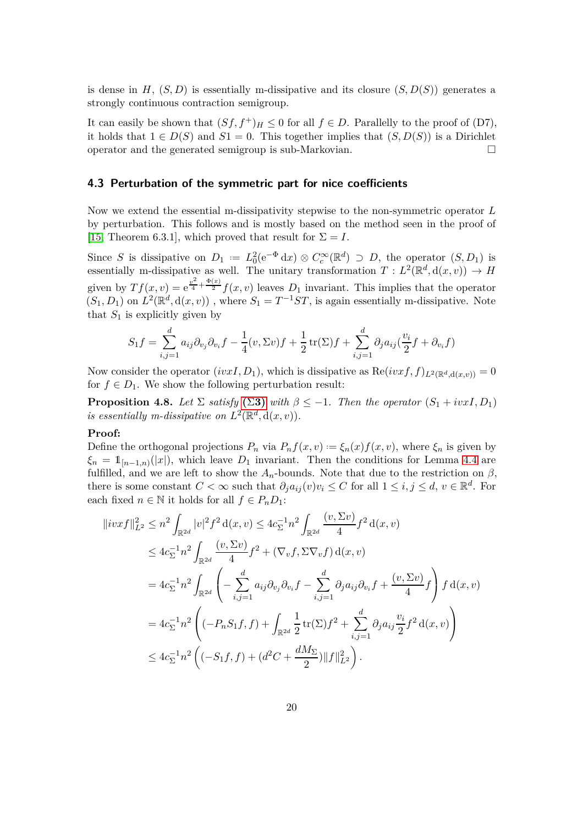is dense in  $H$ ,  $(S, D)$  is essentially m-dissipative and its closure  $(S, D(S))$  generates a strongly continuous contraction semigroup.

It can easily be shown that  $(Sf, f^+)$ <sub>*H*</sub>  $\leq$  0 for all  $f \in D$ . Parallelly to the proof of (D7), it holds that 1 ∈ *D*(*S*) and *S*1 = 0. This together implies that  $(S, D(S))$  is a Dirichlet operator and the generated semigroup is sub-Markovian. operator and the generated semigroup is sub-Markovian.

#### **4.3 Perturbation of the symmetric part for nice coefficients**

Now we extend the essential m-dissipativity stepwise to the non-symmetric operator *L* by perturbation. This follows and is mostly based on the method seen in the proof of [\[15,](#page-29-6) Theorem 6.3.1], which proved that result for  $\Sigma = I$ .

Since *S* is dissipative on  $D_1 := L_0^2 (e^{-\Phi} dx) \otimes C_c^{\infty}(\mathbb{R}^d) \supset D$ , the operator  $(S, D_1)$  is essentially m-dissipative as well. The unitary transformation  $T: L^2(\mathbb{R}^d, d(x, v)) \to H$ given by  $Tf(x, v) = e^{\frac{v^2}{4} + \frac{\Phi(x)}{2}} f(x, v)$  leaves  $D_1$  invariant. This implies that the operator  $(S_1, D_1)$  on  $L^2(\mathbb{R}^d, d(x, v))$ , where  $S_1 = T^{-1}ST$ , is again essentially m-dissipative. Note that  $S_1$  is explicitly given by

<span id="page-19-0"></span>
$$
S_1 f = \sum_{i,j=1}^d a_{ij} \partial_{v_j} \partial_{v_i} f - \frac{1}{4} (v, \Sigma v) f + \frac{1}{2} \operatorname{tr}(\Sigma) f + \sum_{i,j=1}^d \partial_j a_{ij} (\frac{v_i}{2} f + \partial_{v_i} f)
$$

Now consider the operator  $(ivxI, D_1)$ , which is dissipative as  $\text{Re}(ivxf, f)_{L^2(\mathbb{R}^d, d(x,v))} = 0$ for  $f \in D_1$ . We show the following perturbation result:

**Proposition 4.8.** *Let*  $\Sigma$  *satisfy*  $(\Sigma 3)$  $(\Sigma 3)$  *with*  $\beta \leq -1$ *. Then the operator*  $(S_1 + i v x I, D_1)$ *is essentially m-dissipative on*  $L^2(\mathbb{R}^d, d(x, v))$ .

## **Proof:**

Define the orthogonal projections  $P_n$  via  $P_n f(x, v) := \xi_n(x) f(x, v)$ , where  $\xi_n$  is given by  $\xi_n = 1_{[n-1,n)}(|x|)$ , which leave *D*<sub>1</sub> invariant. Then the conditions for Lemma [4.4](#page-16-1) are fulfilled, and we are left to show the  $A_n$ -bounds. Note that due to the restriction on  $\beta$ , there is some constant  $C < \infty$  such that  $\partial_j a_{ij}(v)v_i \leq C$  for all  $1 \leq i, j \leq d, v \in \mathbb{R}^d$ . For each fixed  $n \in \mathbb{N}$  it holds for all  $f \in P_nD_1$ :

$$
\|ivxf\|_{L^2}^2 \leq n^2 \int_{\mathbb{R}^{2d}} |v|^2 f^2 d(x, v) \leq 4c_{\Sigma}^{-1} n^2 \int_{\mathbb{R}^{2d}} \frac{(v, \Sigma v)}{4} f^2 d(x, v)
$$
  
\n
$$
\leq 4c_{\Sigma}^{-1} n^2 \int_{\mathbb{R}^{2d}} \frac{(v, \Sigma v)}{4} f^2 + (\nabla_v f, \Sigma \nabla_v f) d(x, v)
$$
  
\n
$$
= 4c_{\Sigma}^{-1} n^2 \int_{\mathbb{R}^{2d}} \left( -\sum_{i,j=1}^d a_{ij} \partial_{v_j} \partial_{v_i} f - \sum_{i,j=1}^d \partial_j a_{ij} \partial_{v_i} f + \frac{(v, \Sigma v)}{4} f \right) f d(x, v)
$$
  
\n
$$
= 4c_{\Sigma}^{-1} n^2 \left( (-P_n S_1 f, f) + \int_{\mathbb{R}^{2d}} \frac{1}{2} \text{tr}(\Sigma) f^2 + \sum_{i,j=1}^d \partial_j a_{ij} \frac{v_i}{2} f^2 d(x, v) \right)
$$
  
\n
$$
\leq 4c_{\Sigma}^{-1} n^2 \left( (-S_1 f, f) + (d^2 C + \frac{dM_{\Sigma}}{2}) ||f||_{L^2}^2 \right).
$$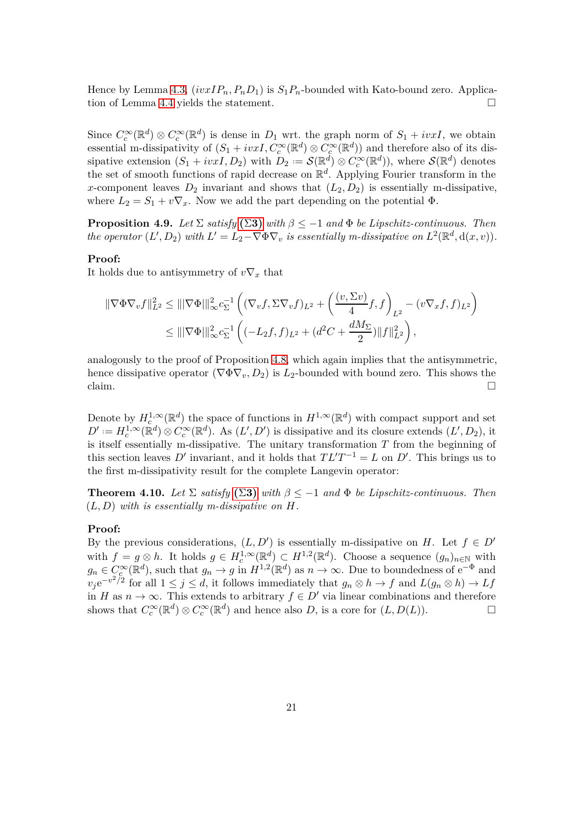Hence by Lemma [4.3,](#page-16-2)  $(ivxIP_n, P_nD_1)$  is  $S_1P_n$ -bounded with Kato-bound zero. Application of Lemma [4.4](#page-16-1) yields the statement.

Since  $C_c^{\infty}(\mathbb{R}^d) \otimes C_c^{\infty}(\mathbb{R}^d)$  is dense in  $D_1$  wrt. the graph norm of  $S_1 + ivxI$ , we obtain essential m-dissipativity of  $(S_1 + ivxI, C_c^{\infty}(\mathbb{R}^d) \otimes C_c^{\infty}(\mathbb{R}^d))$  and therefore also of its dissipative extension  $(S_1 + ivxI, D_2)$  with  $D_2 := \mathcal{S}(\mathbb{R}^d) \otimes C_c^{\infty}(\mathbb{R}^d)$ , where  $\mathcal{S}(\mathbb{R}^d)$  denotes the set of smooth functions of rapid decrease on R *d* . Applying Fourier transform in the *x*-component leaves  $D_2$  invariant and shows that  $(L_2, D_2)$  is essentially m-dissipative, where  $L_2 = S_1 + v \nabla_x$ . Now we add the part depending on the potential  $\Phi$ .

**Proposition 4.9.** *Let*  $\Sigma$  *satisfy*  $(\Sigma 3)$  $(\Sigma 3)$  *with*  $\beta \leq -1$  *and*  $\Phi$  *be Lipschitz-continuous. Then the operator*  $(L', D_2)$  *with*  $L' = L_2 - \nabla \Phi \nabla_v$  *is essentially m-dissipative on*  $L^2(\mathbb{R}^d, d(x, v))$ *.* 

#### **Proof:**

It holds due to antisymmetry of  $v\nabla_x$  that

$$
\begin{split} \|\nabla \Phi \nabla_v f\|_{L^2}^2 &\leq \||\nabla \Phi||_{\infty}^2 c_{\Sigma}^{-1} \left( (\nabla_v f, \Sigma \nabla_v f)_{L^2} + \left( \frac{(v, \Sigma v)}{4} f, f \right)_{L^2} - (v \nabla_x f, f)_{L^2} \right) \\ &\leq \||\nabla \Phi||_{\infty}^2 c_{\Sigma}^{-1} \left( (-L_2 f, f)_{L^2} + (d^2 C + \frac{dM_{\Sigma}}{2}) \|f\|_{L^2}^2 \right), \end{split}
$$

analogously to the proof of Proposition [4.8,](#page-19-0) which again implies that the antisymmetric, hence dissipative operator  $(\nabla \Phi \nabla_v, D_2)$  is  $L_2$ -bounded with bound zero. This shows the claim. claim.  $\Box$ 

Denote by  $H_c^{1,\infty}(\mathbb{R}^d)$  the space of functions in  $H^{1,\infty}(\mathbb{R}^d)$  with compact support and set  $D' := H_c^{1,\infty}(\mathbb{R}^d) \otimes C_c^{\infty}(\mathbb{R}^d)$ . As  $(L', D')$  is dissipative and its closure extends  $(L', D_2)$ , it is itself essentially m-dissipative. The unitary transformation *T* from the beginning of this section leaves  $D'$  invariant, and it holds that  $TL'T^{-1} = L$  on  $D'$ . This brings us to the first m-dissipativity result for the complete Langevin operator:

<span id="page-20-0"></span>**Theorem 4.10.** *Let*  $\Sigma$  *satisfy* ( $\Sigma$ **[3\)](#page-8-1)** *with*  $\beta \leq -1$  *and*  $\Phi$  *be Lipschitz-continuous. Then* (*L, D*) *with is essentially m-dissipative on H.*

#### **Proof:**

By the previous considerations,  $(L, D')$  is essentially m-dissipative on *H*. Let  $f \in D'$ with  $f = g \otimes h$ . It holds  $g \in H_c^{1,\infty}(\mathbb{R}^d) \subset H^{1,2}(\mathbb{R}^d)$ . Choose a sequence  $(g_n)_{n \in \mathbb{N}}$  with  $g_n \in C_c^{\infty}(\mathbb{R}^d)$ , such that  $g_n \to g$  in  $H^{1,2}(\mathbb{R}^d)$  as  $n \to \infty$ . Due to boundedness of  $e^{-\Phi}$  and  $v_j e^{-v^2/2}$  for all  $1 \le j \le d$ , it follows immediately that  $g_n \otimes h \to f$  and  $L(g_n \otimes h) \to Lf$ in *H* as *n* → ∞. This extends to arbitrary  $f \in D'$  via linear combinations and therefore shows that  $C^{\infty}(\mathbb{R}^d) \otimes C^{\infty}(\mathbb{R}^d)$  and hence also *D*, is a core for  $(L, D(L))$ . shows that  $C_c^{\infty}(\mathbb{R}^d) \otimes C_c^{\infty}(\mathbb{R}^d)$  and hence also *D*, is a core for  $(L, D(L))$ .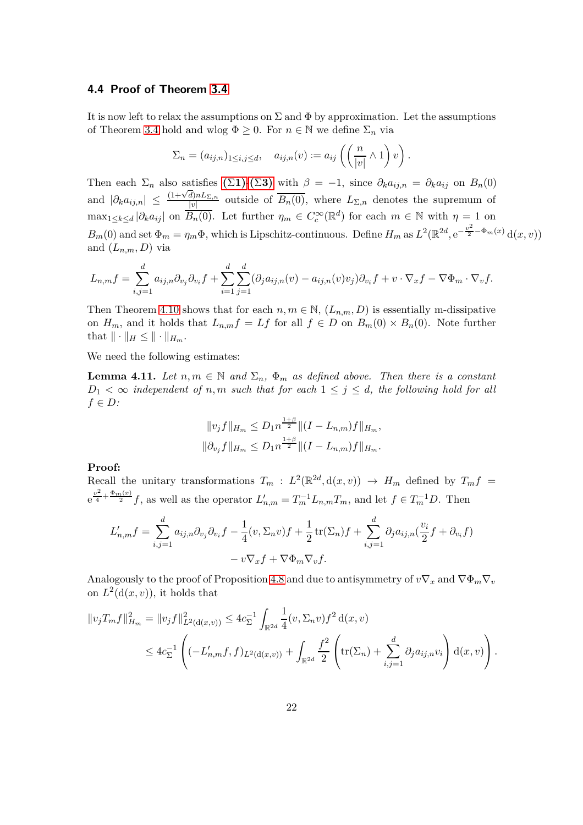#### **4.4 Proof of Theorem [3.4](#page-10-0)**

It is now left to relax the assumptions on  $\Sigma$  and  $\Phi$  by approximation. Let the assumptions of Theorem [3.4](#page-10-0) hold and wlog  $\Phi \geq 0$ . For  $n \in \mathbb{N}$  we define  $\Sigma_n$  via

$$
\Sigma_n = (a_{ij,n})_{1 \leq i,j \leq d}, \quad a_{ij,n}(v) := a_{ij} \left( \left( \frac{n}{|v|} \wedge 1 \right) v \right).
$$

Then each  $\Sigma_n$  also satisfies  $(\Sigma 1)$  $(\Sigma 1)$ - $(\Sigma 3)$  $(\Sigma 3)$  with  $\beta = -1$ , since  $\partial_k a_{i j n} = \partial_k a_{i j}$  on  $B_n(0)$ and  $|\partial_k a_{ij,n}| \leq \frac{(1+\sqrt{d})nL_{\Sigma,n}}{|v|}$  $\frac{d\mu_{\text{PL}}\Sigma_{n}}{|\nu|}$  outside of  $B_n(0)$ , where  $L_{\Sigma,n}$  denotes the supremum of  $\max_{1 \leq k \leq d} |\partial_k a_{ij}|$  on  $\overline{B_n(0)}$ . Let further  $\eta_m \in C_c^{\infty}(\mathbb{R}^d)$  for each  $m \in \mathbb{N}$  with  $\eta = 1$  on  $B_m(0)$  and set  $\Phi_m = \eta_m \Phi$ , which is Lipschitz-continuous. Define  $H_m$  as  $L^2(\mathbb{R}^{2d}, e^{-\frac{v^2}{2} - \Phi_m(x)} d(x, v))$ and  $(L_{n,m}, D)$  via

$$
L_{n,m}f = \sum_{i,j=1}^d a_{ij,n} \partial_{v_j} \partial_{v_i} f + \sum_{i=1}^d \sum_{j=1}^d (\partial_j a_{ij,n}(v) - a_{ij,n}(v)v_j) \partial_{v_i} f + v \cdot \nabla_x f - \nabla \Phi_m \cdot \nabla_v f.
$$

Then Theorem [4.10](#page-20-0) shows that for each  $n, m \in \mathbb{N}$ ,  $(L_{n,m}, D)$  is essentially m-dissipative on  $H_m$ , and it holds that  $L_{n,m}f = Lf$  for all  $f \in D$  on  $B_m(0) \times B_n(0)$ . Note further that  $\|\cdot\|_H \leq \|\cdot\|_{H_m}$ .

We need the following estimates:

**Lemma 4.11.** *Let*  $n, m \in \mathbb{N}$  *and*  $\Sigma_n$ *,*  $\Phi_m$  *as defined above. Then there is a constant*  $D_1 < \infty$  *independent of n,m such that for each*  $1 \leq j \leq d$ *, the following hold for all f* ∈ *D:*

<span id="page-21-0"></span>
$$
||v_j f||_{H_m} \le D_1 n^{\frac{1+\beta}{2}} ||(I - L_{n,m})f||_{H_m},
$$
  

$$
||\partial_{v_j} f||_{H_m} \le D_1 n^{\frac{1+\beta}{2}} ||(I - L_{n,m})f||_{H_m}.
$$

#### **Proof:**

Recall the unitary transformations  $T_m$ :  $L^2(\mathbb{R}^{2d}, d(x, v)) \to H_m$  defined by  $T_m f =$  $e^{\frac{v^2}{4} + \frac{\Phi_m(x)}{2}} f$ , as well as the operator  $L'_{n,m} = T_m^{-1} L_{n,m} T_m$ , and let  $f \in T_m^{-1} D$ . Then

$$
L'_{n,m}f = \sum_{i,j=1}^d a_{ij,n} \partial_{v_j} \partial_{v_i} f - \frac{1}{4} (v, \Sigma_n v) f + \frac{1}{2} \operatorname{tr}(\Sigma_n) f + \sum_{i,j=1}^d \partial_j a_{ij,n} (\frac{v_i}{2} f + \partial_{v_i} f) - v \nabla_x f + \nabla \Phi_m \nabla_v f.
$$

Analogously to the proof of Proposition [4.8](#page-19-0) and due to antisymmetry of  $v\nabla_x$  and  $\nabla \Phi_m \nabla_v$ on  $L^2(\mathrm{d}(x,v))$ , it holds that

$$
||v_jT_mf||_{H_m}^2 = ||v_jf||_{L^2(\mathrm{d}(x,v))}^2 \le 4c_{\Sigma}^{-1} \int_{\mathbb{R}^{2d}} \frac{1}{4}(v, \Sigma_n v) f^2 \mathrm{d}(x, v)
$$
  

$$
\le 4c_{\Sigma}^{-1} \left( (-L'_{n,m}f, f)_{L^2(\mathrm{d}(x,v))} + \int_{\mathbb{R}^{2d}} \frac{f^2}{2} \left( \mathrm{tr}(\Sigma_n) + \sum_{i,j=1}^d \partial_j a_{ij,n} v_i \right) \mathrm{d}(x, v) \right).
$$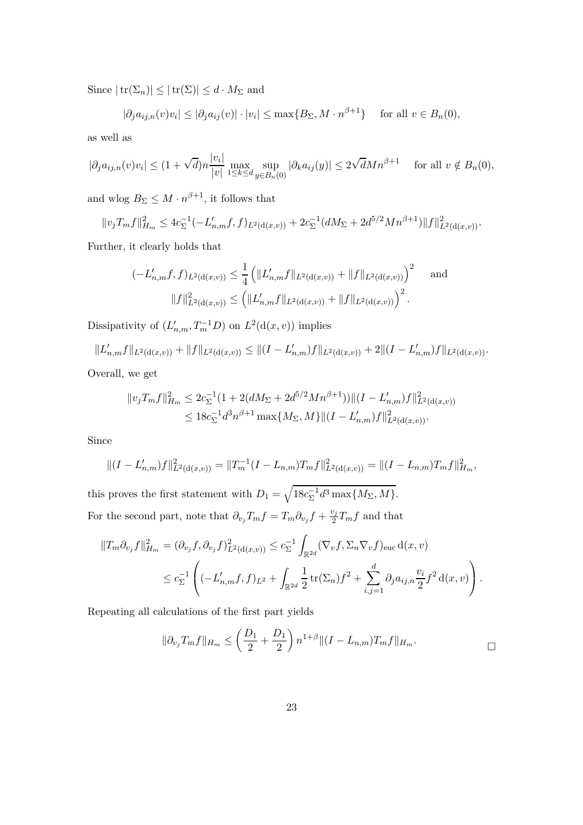Since  $|\operatorname{tr}(\Sigma_n)| \leq |\operatorname{tr}(\Sigma)| \leq d \cdot M_{\Sigma}$  and

$$
|\partial_j a_{ij,n}(v)v_i| \le |\partial_j a_{ij}(v)| \cdot |v_i| \le \max\{B_\Sigma, M \cdot n^{\beta+1}\} \quad \text{ for all } v \in B_n(0),
$$

as well as

$$
|\partial_j a_{ij,n}(v)v_i| \le (1 + \sqrt{d})n \frac{|v_i|}{|v|} \max_{1 \le k \le d} \sup_{y \in B_n(0)} |\partial_k a_{ij}(y)| \le 2\sqrt{d}M n^{\beta+1} \quad \text{ for all } v \notin B_n(0),
$$

and wlog  $B_{\Sigma} \leq M \cdot n^{\beta+1}$ , it follows that

$$
||v_jT_mf||_{H_m}^2 \leq 4c_{\Sigma}^{-1}(-L'_{n,m}f,f)_{L^2(\mathrm{d}(x,v))} + 2c_{\Sigma}^{-1}(dM_{\Sigma} + 2d^{5/2}Mn^{\beta+1})||f||_{L^2(\mathrm{d}(x,v))}^2.
$$

Further, it clearly holds that

$$
(-L'_{n,m}f,f)_{L^2(\mathrm{d}(x,v))} \leq \frac{1}{4} \left( \|L'_{n,m}f\|_{L^2(\mathrm{d}(x,v))} + \|f\|_{L^2(\mathrm{d}(x,v))} \right)^2 \quad \text{and}
$$

$$
\|f\|_{L^2(\mathrm{d}(x,v))}^2 \leq \left( \|L'_{n,m}f\|_{L^2(\mathrm{d}(x,v))} + \|f\|_{L^2(\mathrm{d}(x,v))} \right)^2.
$$

Dissipativity of  $(L'_{n,m}, T_m^{-1}D)$  on  $L^2(\mathrm{d}(x,v))$  implies

$$
||L'_{n,m}f||_{L^{2}(\mathrm{d}(x,v))}+||f||_{L^{2}(\mathrm{d}(x,v))} \leq ||(I-L'_{n,m})f||_{L^{2}(\mathrm{d}(x,v))}+2||(I-L'_{n,m})f||_{L^{2}(\mathrm{d}(x,v))}.
$$

Overall, we get

$$
||v_j T_m f||_{H_m}^2 \leq 2c_{\Sigma}^{-1} (1 + 2(dM_{\Sigma} + 2d^{5/2}Mn^{\beta+1})) ||(I - L'_{n,m})f||_{L^2(\mathrm{d}(x,v))}^2
$$
  

$$
\leq 18c_{\Sigma}^{-1} d^3 n^{\beta+1} \max\{M_{\Sigma}, M\} ||(I - L'_{n,m})f||_{L^2(\mathrm{d}(x,v))}^2.
$$

Since

$$
||(I - L'_{n,m})f||_{L^2(d(x,v))}^2 = ||T_m^{-1}(I - L_{n,m})T_mf||_{L^2(d(x,v))}^2 = ||(I - L_{n,m})T_mf||_{H_m}^2,
$$

this proves the first statement with  $D_1 = \sqrt{18c_{\Sigma}^{-1}d^3\max\{M_{\Sigma},M\}}$ . For the second part, note that  $\partial_{v_j} T_m f = T_m \partial_{v_j} f + \frac{v_j}{2}$  $\frac{\partial^j T}{\partial x^j}$  and that

$$
||T_m \partial_{v_j} f||_{H_m}^2 = (\partial_{v_j} f, \partial_{v_j} f)_{L^2(d(x,v))}^2 \le c_{\Sigma}^{-1} \int_{\mathbb{R}^{2d}} (\nabla_v f, \Sigma_n \nabla_v f)_{\text{euc}} d(x, v)
$$
  

$$
\le c_{\Sigma}^{-1} \left( (-L'_{n,m} f, f)_{L^2} + \int_{\mathbb{R}^{2d}} \frac{1}{2} tr(\Sigma_n) f^2 + \sum_{i,j=1}^d \partial_j a_{ij,n} \frac{v_i}{2} f^2 d(x, v) \right).
$$

Repeating all calculations of the first part yields

$$
\|\partial_{v_j}T_mf\|_{H_m} \le \left(\frac{D_1}{2} + \frac{D_1}{2}\right) n^{1+\beta} \|(I - L_{n,m})T_mf\|_{H_m}.
$$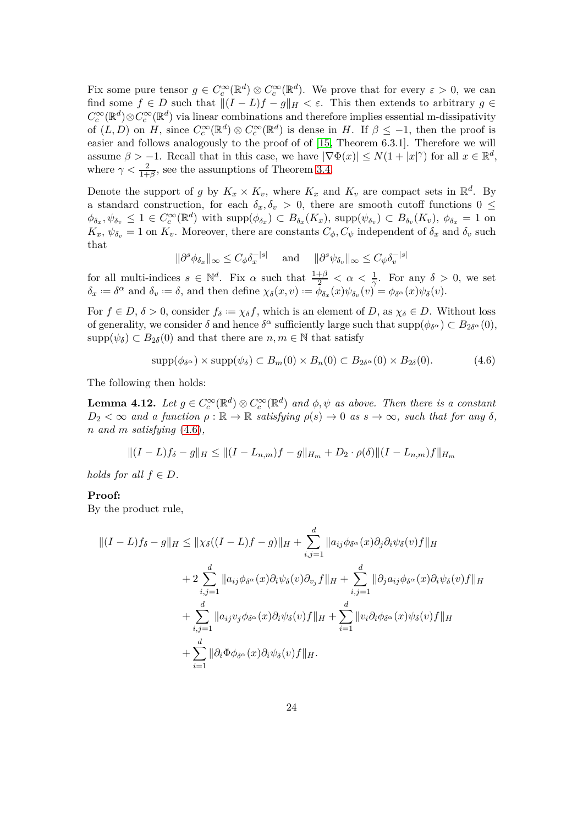Fix some pure tensor  $g \in C_c^{\infty}(\mathbb{R}^d) \otimes C_c^{\infty}(\mathbb{R}^d)$ . We prove that for every  $\varepsilon > 0$ , we can find some  $f \in D$  such that  $||(I - L)f - g||_H < \varepsilon$ . This then extends to arbitrary  $g \in$  $C_c^{\infty}(\mathbb{R}^d) \otimes C_c^{\infty}(\mathbb{R}^d)$  via linear combinations and therefore implies essential m-dissipativity of  $(L, D)$  on *H*, since  $C_c^{\infty}(\mathbb{R}^d) \otimes C_c^{\infty}(\mathbb{R}^d)$  is dense in *H*. If  $\beta \le -1$ , then the proof is easier and follows analogously to the proof of  $[15,$  Theorem 6.3.1]. Therefore we will assume  $\beta > -1$ . Recall that in this case, we have  $|\nabla \Phi(x)| \le N(1+|x|^\gamma)$  for all  $x \in \mathbb{R}^d$ , where  $\gamma < \frac{2}{1+\beta}$ , see the assumptions of Theorem [3.4.](#page-10-0)

Denote the support of *g* by  $K_x \times K_v$ , where  $K_x$  and  $K_v$  are compact sets in  $\mathbb{R}^d$ . By a standard construction, for each  $\delta_x, \delta_v > 0$ , there are smooth cutoff functions  $0 \leq$  $\phi_{\delta_x}, \psi_{\delta_v} \leq 1 \in C_c^{\infty}(\mathbb{R}^d)$  with  $\text{supp}(\phi_{\delta_x}) \subset B_{\delta_x}(K_x)$ ,  $\text{supp}(\psi_{\delta_v}) \subset B_{\delta_v}(K_v)$ ,  $\phi_{\delta_x} = 1$  on  $K_x$ ,  $\psi_{\delta_v} = 1$  on  $K_v$ . Moreover, there are constants  $C_{\phi}$ ,  $C_{\psi}$  independent of  $\delta_x$  and  $\delta_v$  such that

$$
\|\partial^s \phi_{\delta_x}\|_{\infty} \le C_{\phi} \delta_x^{-|s|} \quad \text{ and } \quad \|\partial^s \psi_{\delta_v}\|_{\infty} \le C_{\psi} \delta_v^{-|s|}
$$

for all multi-indices  $s \in \mathbb{N}^d$ . Fix  $\alpha$  such that  $\frac{1+\beta}{2} < \alpha < \frac{1}{\gamma}$ . For any  $\delta > 0$ , we set  $\delta_x := \delta^{\alpha}$  and  $\delta_v := \delta$ , and then define  $\chi_{\delta}(x, v) := \bar{\phi}_{\delta_x}(x)\psi_{\delta_v}(v) = \phi_{\delta^{\alpha}}(x)\psi_{\delta}(v)$ .

For  $f \in D$ ,  $\delta > 0$ , consider  $f_{\delta} := \chi_{\delta} f$ , which is an element of *D*, as  $\chi_{\delta} \in D$ . Without loss of generality, we consider  $\delta$  and hence  $\delta^{\alpha}$  sufficiently large such that  $\text{supp}(\phi_{\delta^{\alpha}}) \subset B_{2\delta^{\alpha}}(0)$ ,  $\text{supp}(\psi_{\delta}) \subset B_{2\delta}(0)$  and that there are  $n, m \in \mathbb{N}$  that satisfy

<span id="page-23-1"></span><span id="page-23-0"></span>
$$
supp(\phi_{\delta^{\alpha}}) \times supp(\psi_{\delta}) \subset B_m(0) \times B_n(0) \subset B_{2\delta^{\alpha}}(0) \times B_{2\delta}(0). \tag{4.6}
$$

The following then holds:

**Lemma 4.12.** *Let*  $g \in C_c^{\infty}(\mathbb{R}^d) \otimes C_c^{\infty}(\mathbb{R}^d)$  *and*  $\phi, \psi$  *as above. Then there is a constant*  $D_2 < \infty$  *and a function*  $\rho : \mathbb{R} \to \mathbb{R}$  *satisfying*  $\rho(s) \to 0$  *as*  $s \to \infty$ *, such that for any*  $\delta$ *, n and m satisfying* [\(4.6\)](#page-23-0)*,*

$$
||(I-L)f_{\delta}-g||_H \leq ||(I-L_{n,m})f-g||_{H_m} + D_2 \cdot \rho(\delta)||(I-L_{n,m})f||_{H_m}
$$

*holds for all*  $f \in D$ *.* 

#### **Proof:**

By the product rule,

$$
\begin{aligned}\n\|(I-L)f_{\delta}-g\|_{H} &\leq \|\chi_{\delta}((I-L)f-g)\|_{H} + \sum_{i,j=1}^{d} \|a_{ij}\phi_{\delta^{\alpha}}(x)\partial_{j}\partial_{i}\psi_{\delta}(v)f\|_{H} \\
&\quad + 2\sum_{i,j=1}^{d} \|a_{ij}\phi_{\delta^{\alpha}}(x)\partial_{i}\psi_{\delta}(v)\partial_{v_{j}}f\|_{H} + \sum_{i,j=1}^{d} \|\partial_{j}a_{ij}\phi_{\delta^{\alpha}}(x)\partial_{i}\psi_{\delta}(v)f\|_{H} \\
&\quad + \sum_{i,j=1}^{d} \|a_{ij}v_{j}\phi_{\delta^{\alpha}}(x)\partial_{i}\psi_{\delta}(v)f\|_{H} + \sum_{i=1}^{d} \|v_{i}\partial_{i}\phi_{\delta^{\alpha}}(x)\psi_{\delta}(v)f\|_{H} \\
&\quad + \sum_{i=1}^{d} \|\partial_{i}\Phi\phi_{\delta^{\alpha}}(x)\partial_{i}\psi_{\delta}(v)f\|_{H}.\n\end{aligned}
$$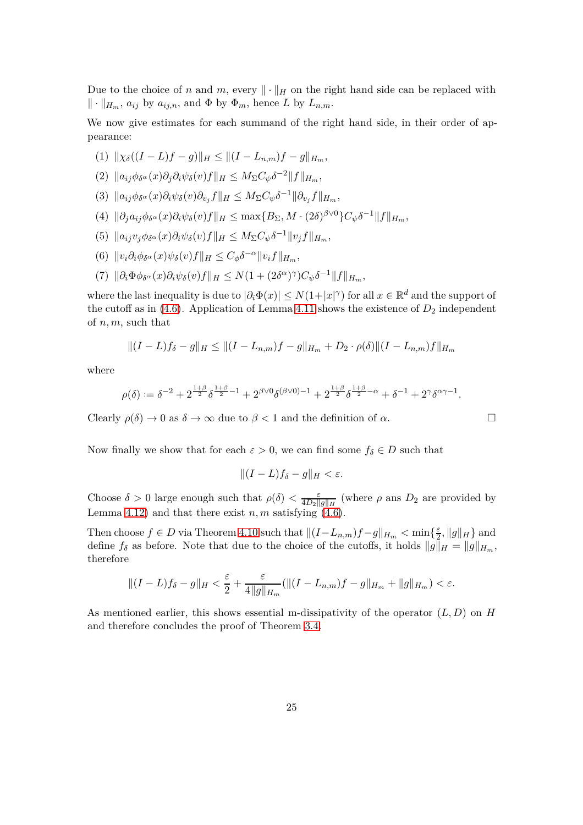Due to the choice of *n* and *m*, every  $\|\cdot\|_H$  on the right hand side can be replaced with  $\|\cdot\|_{H_m}$ ,  $a_{ij}$  by  $a_{ij,n}$ , and  $\Phi$  by  $\Phi_m$ , hence *L* by  $L_{n,m}$ .

We now give estimates for each summand of the right hand side, in their order of appearance:

$$
(1) \| \chi_{\delta}((I-L)f-g) \|_{H} \leq \| (I-L_{n,m})f-g \|_{H_{m}},
$$

$$
(2) \|a_{ij}\phi_{\delta^{\alpha}}(x)\partial_j\partial_i\psi_{\delta}(v)f\|_H \leq M_{\Sigma}C_{\psi}\delta^{-2}\|f\|_{H_m},
$$

- (3)  $||a_{ij}\phi_{\delta^{\alpha}}(x)\partial_i\psi_{\delta}(v)\partial_{v_j}f||_H \leq M_{\Sigma}C_{\psi}\delta^{-1}||\partial_{v_j}f||_{H_m},$
- (4)  $\|\partial_j a_{ij}\phi_{\delta^\alpha}(x)\partial_i\psi_\delta(v)f\|_H \leq \max\{B_\Sigma, M\cdot (2\delta)^{\beta\vee 0}\}C_\psi\delta^{-1}\|f\|_{H_m},$
- $(5)$   $||a_{ij}v_j\phi_{\delta\alpha}(x)\partial_i\psi_{\delta}(v)f||_H \leq M_{\Sigma}C_{\psi}\delta^{-1}||v_jf||_{H_m},$
- $(6)$   $||v_i \partial_i \phi_{\delta^{\alpha}}(x) \psi_{\delta}(v) f||_H \leq C_{\phi} \delta^{-\alpha} ||v_i f||_{H_m},$
- $(7)$   $\|\partial_i\Phi\phi_{\delta^{\alpha}}(x)\partial_i\psi_{\delta}(v)f\|_H \leq N(1 + (2\delta^{\alpha})^{\gamma})C_{\psi}\delta^{-1}\|f\|_{H_m},$

where the last inequality is due to  $|\partial_i \Phi(x)| \le N(1+|x|^\gamma)$  for all  $x \in \mathbb{R}^d$  and the support of the cutoff as in  $(4.6)$ . Application of Lemma [4.11](#page-21-0) shows the existence of  $D_2$  independent of *n, m*, such that

$$
||(I-L)f_{\delta}-g||_H \leq ||(I-L_{n,m})f-g||_{H_m} + D_2 \cdot \rho(\delta)||(I-L_{n,m})f||_{H_m}
$$

where

$$
\rho(\delta):=\delta^{-2}+2^{\frac{1+\beta}{2}}\delta^{\frac{1+\beta}{2}-1}+2^{\beta\vee 0}\delta^{(\beta\vee 0)-1}+2^{\frac{1+\beta}{2}}\delta^{\frac{1+\beta}{2}-\alpha}+\delta^{-1}+2^{\gamma}\delta^{\alpha\gamma-1}.
$$

Clearly  $\rho(\delta) \to 0$  as  $\delta \to \infty$  due to  $\beta < 1$  and the definition of  $\alpha$ .

Now finally we show that for each  $\varepsilon > 0$ , we can find some  $f_{\delta} \in D$  such that

$$
||(I-L)f_{\delta}-g||_{H}<\varepsilon.
$$

Choose  $\delta > 0$  large enough such that  $\rho(\delta) < \frac{\varepsilon}{4D_0}$  $\frac{\varepsilon}{4D_2\|g\|_H}$  (where  $\rho$  ans  $D_2$  are provided by Lemma [4.12\)](#page-23-1) and that there exist  $n, m$  satisfying  $(4.6)$ .

Then choose  $f \in D$  via Theorem [4.10](#page-20-0) such that  $||(I - L_{n,m})f - g||_{H_m} < \min\{\frac{\varepsilon}{2},\}$  $\frac{\varepsilon}{2}, \|g\|_H\}$  and define  $f_{\delta}$  as before. Note that due to the choice of the cutoffs, it holds  $||g||_H = ||g||_{H_m}$ , therefore

$$
\|(I-L)f_{\delta}-g\|_{H} < \frac{\varepsilon}{2} + \frac{\varepsilon}{4\|g\|_{H_{m}}} (\|(I-L_{n,m})f-g\|_{H_{m}} + \|g\|_{H_{m}}) < \varepsilon.
$$

As mentioned earlier, this shows essential m-dissipativity of the operator (*L, D*) on *H* and therefore concludes the proof of Theorem [3.4.](#page-10-0)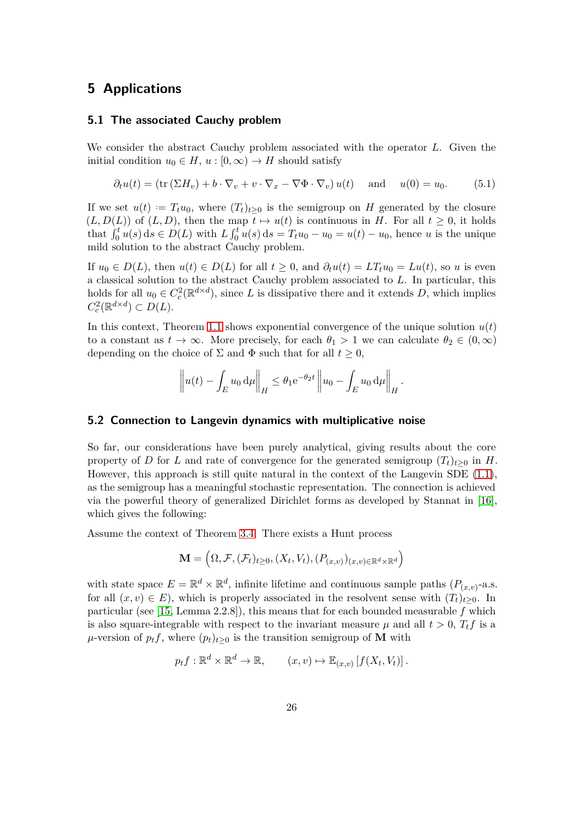## <span id="page-25-2"></span>**5 Applications**

#### **5.1 The associated Cauchy problem**

We consider the abstract Cauchy problem associated with the operator *L*. Given the initial condition  $u_0 \in H$ ,  $u : [0, \infty) \to H$  should satisfy

<span id="page-25-0"></span>
$$
\partial_t u(t) = (\text{tr}(\Sigma H_v) + b \cdot \nabla_v + v \cdot \nabla_x - \nabla \Phi \cdot \nabla_v) u(t) \quad \text{and} \quad u(0) = u_0. \tag{5.1}
$$

If we set  $u(t) = T_t u_0$ , where  $(T_t)_{t \geq 0}$  is the semigroup on *H* generated by the closure  $(L, D(L))$  of  $(L, D)$ , then the map  $t \mapsto u(t)$  is continuous in *H*. For all  $t \geq 0$ , it holds that  $\int_0^t u(s) ds \in D(L)$  with  $L \int_0^t u(s) ds = T_t u_0 - u_0 = u(t) - u_0$ , hence u is the unique mild solution to the abstract Cauchy problem.

If  $u_0 \in D(L)$ , then  $u(t) \in D(L)$  for all  $t \geq 0$ , and  $\partial_t u(t) = LT_t u_0 = Lu(t)$ , so *u* is even a classical solution to the abstract Cauchy problem associated to *L*. In particular, this holds for all  $u_0 \in C_c^2(\mathbb{R}^{d \times d})$ , since *L* is dissipative there and it extends *D*, which implies  $C_c^2(\mathbb{R}^{d \times d}) \subset D(L).$ 

In this context, Theorem [1.1](#page-3-0) shows exponential convergence of the unique solution  $u(t)$ to a constant as  $t \to \infty$ . More precisely, for each  $\theta_1 > 1$  we can calculate  $\theta_2 \in (0, \infty)$ depending on the choice of  $\Sigma$  and  $\Phi$  such that for all  $t \geq 0$ ,

$$
\left\| u(t) - \int_E u_0 \, \mathrm{d}\mu \right\|_H \leq \theta_1 e^{-\theta_2 t} \left\| u_0 - \int_E u_0 \, \mathrm{d}\mu \right\|_H.
$$

#### <span id="page-25-1"></span>**5.2 Connection to Langevin dynamics with multiplicative noise**

So far, our considerations have been purely analytical, giving results about the core property of *D* for *L* and rate of convergence for the generated semigroup  $(T_t)_{t>0}$  in *H*. However, this approach is still quite natural in the context of the Langevin SDE [\(1.1\)](#page-1-1), as the semigroup has a meaningful stochastic representation. The connection is achieved via the powerful theory of generalized Dirichlet forms as developed by Stannat in [\[16\]](#page-29-7), which gives the following:

Assume the context of Theorem [3.4.](#page-10-0) There exists a Hunt process

$$
\mathbf{M} = \left(\Omega, \mathcal{F}, (\mathcal{F}_t)_{t \geq 0}, (X_t, V_t), (P_{(x,v)})_{(x,v) \in \mathbb{R}^d \times \mathbb{R}^d}\right)
$$

with state space  $E = \mathbb{R}^d \times \mathbb{R}^d$ , infinite lifetime and continuous sample paths  $(P_{(x,v)}$ -a.s. for all  $(x, v) \in E$ ), which is properly associated in the resolvent sense with  $(T_t)_{t>0}$ . In particular (see [\[15,](#page-29-6) Lemma 2.2.8]), this means that for each bounded measurable *f* which is also square-integrable with respect to the invariant measure  $\mu$  and all  $t > 0$ ,  $T_t f$  is a  $\mu$ -version of  $p_t f$ , where  $(p_t)_{t>0}$  is the transition semigroup of **M** with

$$
p_t f: \mathbb{R}^d \times \mathbb{R}^d \to \mathbb{R}, \qquad (x, v) \mapsto \mathbb{E}_{(x, v)} [f(X_t, V_t)].
$$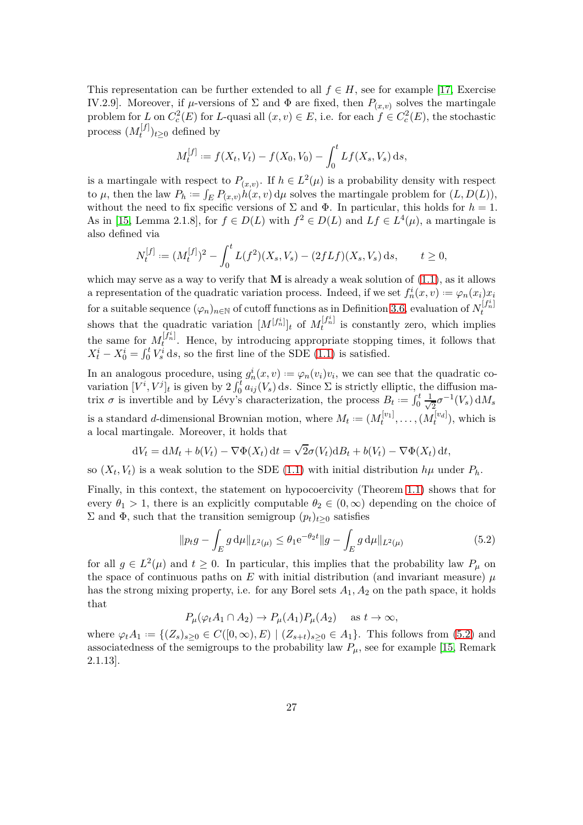This representation can be further extended to all  $f \in H$ , see for example [\[17,](#page-29-8) Exercise IV.2.9]. Moreover, if  $\mu$ -versions of  $\Sigma$  and  $\Phi$  are fixed, then  $P_{(x,v)}$  solves the martingale problem for *L* on  $C_c^2(E)$  for *L*-quasi all  $(x, v) \in E$ , i.e. for each  $f \in C_c^2(E)$ , the stochastic process  $(M_t^{[f]}$  $(t^{[j]})_{t\geq 0}$  defined by

$$
M_t^{[f]} := f(X_t, V_t) - f(X_0, V_0) - \int_0^t Lf(X_s, V_s) \, ds,
$$

is a martingale with respect to  $P_{(x,v)}$ . If  $h \in L^2(\mu)$  is a probability density with respect to  $\mu$ , then the law  $P_h := \int_E P_{(x,v)} h(x,v) d\mu$  solves the martingale problem for  $(L, D(L))$ , without the need to fix specific versions of  $\Sigma$  and  $\Phi$ . In particular, this holds for  $h = 1$ . As in [\[15,](#page-29-6) Lemma 2.1.8], for  $f \in D(L)$  with  $f^2 \in D(L)$  and  $Lf \in L^4(\mu)$ , a martingale is also defined via

$$
N_t^{[f]} := (M_t^{[f]})^2 - \int_0^t L(f^2)(X_s, V_s) - (2fLf)(X_s, V_s) ds, \qquad t \ge 0,
$$

which may serve as a way to verify that  $M$  is already a weak solution of  $(1.1)$ , as it allows a representation of the quadratic variation process. Indeed, if we set  $f_n^i(x, v) := \varphi_n(x_i)x_i$ for a suitable sequence  $(\varphi_n)_{n \in \mathbb{N}}$  of cutoff functions as in Definition [3.6,](#page-11-0) evaluation of  $N_t^{[f_n^i]}$ shows that the quadratic variation  $[M^{[f_n^i]}]_t$  of  $M_t^{[f_n^i]}$  is constantly zero, which implies the same for  $M_t^{[f_n]}$ . Hence, by introducing appropriate stopping times, it follows that  $X_t^i - X_0^i = \int_0^t V_s^i \, ds$ , so the first line of the SDE [\(1.1\)](#page-1-1) is satisfied.

In an analogous procedure, using  $g_n^i(x, v) := \varphi_n(v_i)v_i$ , we can see that the quadratic covariation  $[V^i, V^j]_t$  is given by  $2 \int_0^t a_{ij}(V_s) ds$ . Since  $\Sigma$  is strictly elliptic, the diffusion matrix  $\sigma$  is invertible and by Lévy's characterization, the process  $B_t := \int_0^t \frac{1}{\sqrt{t}}$  $\frac{1}{2}\sigma^{-1}(V_s) dM_s$ is a standard *d*-dimensional Brownian motion, where  $M_t := (M_t^{[v_1]}, \dots, (M_t^{[v_d]}),$  which is a local martingale. Moreover, it holds that

$$
dV_t = dM_t + b(V_t) - \nabla \Phi(X_t) dt = \sqrt{2}\sigma(V_t) dB_t + b(V_t) - \nabla \Phi(X_t) dt,
$$

so  $(X_t, V_t)$  is a weak solution to the SDE [\(1.1\)](#page-1-1) with initial distribution  $h\mu$  under  $P_h$ .

Finally, in this context, the statement on hypocoercivity (Theorem [1.1\)](#page-3-0) shows that for every  $\theta_1 > 1$ , there is an explicitly computable  $\theta_2 \in (0,\infty)$  depending on the choice of  $\Sigma$  and Φ, such that the transition semigroup  $(p_t)_{t\geq0}$  satisfies

<span id="page-26-0"></span>
$$
||p_t g - \int_E g d\mu||_{L^2(\mu)} \le \theta_1 e^{-\theta_2 t} ||g - \int_E g d\mu||_{L^2(\mu)}
$$
(5.2)

for all  $g \in L^2(\mu)$  and  $t \geq 0$ . In particular, this implies that the probability law  $P_\mu$  on the space of continuous paths on  $E$  with initial distribution (and invariant measure)  $\mu$ has the strong mixing property, i.e. for any Borel sets  $A_1, A_2$  on the path space, it holds that

$$
P_{\mu}(\varphi_t A_1 \cap A_2) \to P_{\mu}(A_1) P_{\mu}(A_2) \quad \text{as } t \to \infty,
$$

where  $\varphi_t A_1 := \{(Z_s)_{s \geq 0} \in C([0, \infty), E) \mid (Z_{s+t})_{s \geq 0} \in A_1\}$ . This follows from [\(5.2\)](#page-26-0) and associatedness of the semigroups to the probability law  $P_\mu$ , see for example [\[15,](#page-29-6) Remark 2.1.13].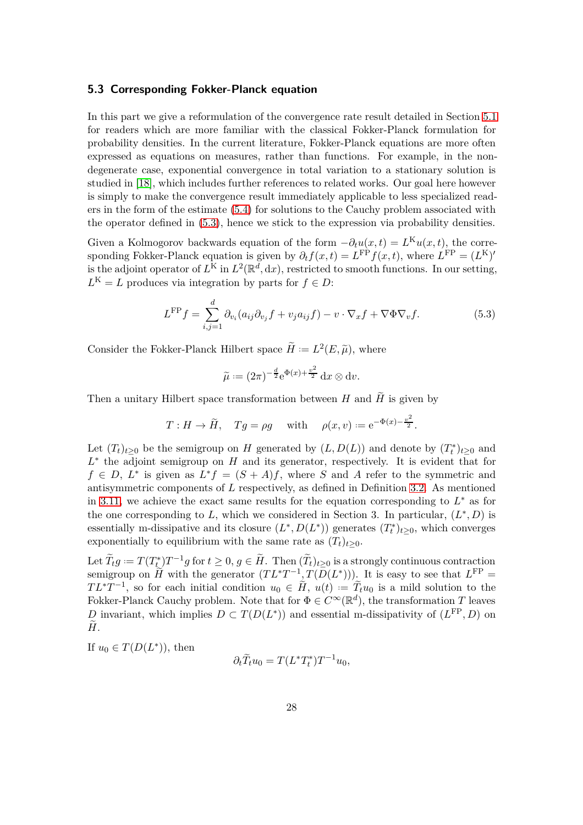#### <span id="page-27-0"></span>**5.3 Corresponding Fokker-Planck equation**

In this part we give a reformulation of the convergence rate result detailed in Section [5.1](#page-25-2) for readers which are more familiar with the classical Fokker-Planck formulation for probability densities. In the current literature, Fokker-Planck equations are more often expressed as equations on measures, rather than functions. For example, in the nondegenerate case, exponential convergence in total variation to a stationary solution is studied in [\[18\]](#page-29-9), which includes further references to related works. Our goal here however is simply to make the convergence result immediately applicable to less specialized readers in the form of the estimate [\(5.4\)](#page-28-8) for solutions to the Cauchy problem associated with the operator defined in [\(5.3\)](#page-27-1), hence we stick to the expression via probability densities.

Given a Kolmogorov backwards equation of the form  $-\partial_t u(x,t) = L^K u(x,t)$ , the corresponding Fokker-Planck equation is given by  $\partial_t f(x,t) = L^{\text{FP}} f(x,t)$ , where  $L^{\text{FP}} = (L^{\text{K}})'$ is the adjoint operator of  $L^{\mathrm{K}}$  in  $L^2(\mathbb{R}^d, dx)$ , restricted to smooth functions. In our setting,  $L^{K} = L$  produces via integration by parts for  $f \in D$ :

<span id="page-27-1"></span>
$$
L^{\rm FP}f = \sum_{i,j=1}^{d} \partial_{v_i}(a_{ij}\partial_{v_j}f + v_j a_{ij}f) - v \cdot \nabla_x f + \nabla \Phi \nabla_v f.
$$
 (5.3)

Consider the Fokker-Planck Hilbert space  $\widetilde{H} := L^2(E, \widetilde{\mu})$ , where

$$
\widetilde{\mu} := (2\pi)^{-\frac{d}{2}} e^{\Phi(x) + \frac{v^2}{2}} dx \otimes dv.
$$

Then a unitary Hilbert space transformation between *H* and  $\tilde{H}$  is given by

$$
T: H \to \widetilde{H}
$$
,  $Tg = \rho g$  with  $\rho(x, v) := e^{-\Phi(x) - \frac{v^2}{2}}$ .

Let  $(T_t)_{t\geq0}$  be the semigroup on *H* generated by  $(L, D(L))$  and denote by  $(T_t^*)_{t\geq0}$  and *L* ∗ the adjoint semigroup on *H* and its generator, respectively. It is evident that for  $f \in D$ ,  $L^*$  is given as  $L^* f = (S + A)f$ , where *S* and *A* refer to the symmetric and antisymmetric components of *L* respectively, as defined in Definition [3.2.](#page-9-2) As mentioned in [3.11,](#page-15-1) we achieve the exact same results for the equation corresponding to *L* ∗ as for the one corresponding to L, which we considered in Section 3. In particular,  $(L^*, D)$  is essentially m-dissipative and its closure  $(L^*, D(L^*))$  generates  $(T_t^*)_{t \geq 0}$ , which converges exponentially to equilibrium with the same rate as  $(T_t)_{t>0}$ .

Let  $\widetilde{T}_t g := T(T^*_{t_+}) T^{-1} g$  for  $t \geq 0, g \in \widetilde{H}$ . Then  $(\widetilde{T}_t)_{t \geq 0}$  is a strongly continuous contraction semigroup on  $\widetilde{H}$  with the generator  $(T L^* T^{-1} {}_{z}T(D(L^*)))$ . It is easy to see that  $L^{\rm FP}$  =  $TL^*T^{-1}$ , so for each initial condition  $u_0 \in \tilde{H}$ ,  $u(t) := \tilde{T}_t u_0$  is a mild solution to the Fokker-Planck Cauchy problem. Note that for  $\Phi \in C^{\infty}(\mathbb{R}^d)$ , the transformation *T* leaves *D* invariant, which implies  $D \subset T(D(L^*))$  and essential m-dissipativity of  $(L^{\text{FP}}, D)$  on  $\tilde{H}$ .

If  $u_0 \in T(D(L^*)),$  then

$$
\partial_t \widetilde{T}_t u_0 = T(L^* T_t^*) T^{-1} u_0,
$$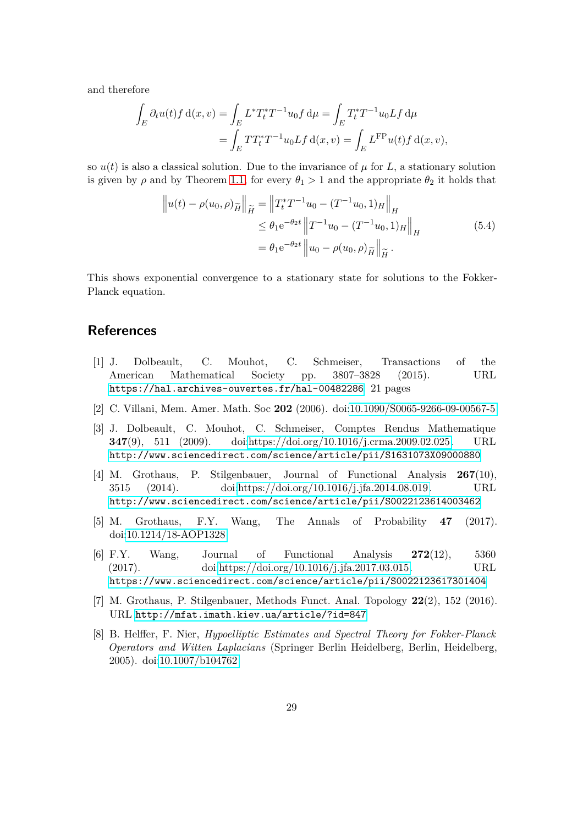and therefore

$$
\int_{E} \partial_{t} u(t) f d(x, v) = \int_{E} L^{*} T_{t}^{*} T^{-1} u_{0} f d\mu = \int_{E} T_{t}^{*} T^{-1} u_{0} L f d\mu
$$
\n
$$
= \int_{E} T T_{t}^{*} T^{-1} u_{0} L f d(x, v) = \int_{E} L^{F P} u(t) f d(x, v),
$$

so  $u(t)$  is also a classical solution. Due to the invariance of  $\mu$  for  $L$ , a stationary solution is given by  $\rho$  and by Theorem [1.1,](#page-3-0) for every  $\theta_1 > 1$  and the appropriate  $\theta_2$  it holds that

<span id="page-28-8"></span>
$$
\|u(t) - \rho(u_0, \rho)\tilde{H}\|_{\tilde{H}} = \|T_t^*T^{-1}u_0 - (T^{-1}u_0, 1)_H\|_H
$$
  
\n
$$
\leq \theta_1 e^{-\theta_2 t} \|T^{-1}u_0 - (T^{-1}u_0, 1)_H\|_H
$$
  
\n
$$
= \theta_1 e^{-\theta_2 t} \|u_0 - \rho(u_0, \rho)\tilde{H}\|_{\tilde{H}}.
$$
\n(5.4)

This shows exponential convergence to a stationary state for solutions to the Fokker-Planck equation.

## <span id="page-28-0"></span>**References**

- [1] J. Dolbeault, C. Mouhot, C. Schmeiser, Transactions of the American Mathematical Society pp. 3807–3828 (2015). URL <https://hal.archives-ouvertes.fr/hal-00482286>. 21 pages
- <span id="page-28-2"></span><span id="page-28-1"></span>[2] C. Villani, Mem. Amer. Math. Soc **202** (2006). doi[:10.1090/S0065-9266-09-00567-5](https://doi.org/10.1090/S0065-9266-09-00567-5)
- [3] J. Dolbeault, C. Mouhot, C. Schmeiser, Comptes Rendus Mathematique **347**(9), 511 (2009). doi[:https://doi.org/10.1016/j.crma.2009.02.025.](https://doi.org/https://doi.org/10.1016/j.crma.2009.02.025) URL <http://www.sciencedirect.com/science/article/pii/S1631073X09000880>
- <span id="page-28-3"></span>[4] M. Grothaus, P. Stilgenbauer, Journal of Functional Analysis **267**(10), 3515 (2014). doi[:https://doi.org/10.1016/j.jfa.2014.08.019.](https://doi.org/https://doi.org/10.1016/j.jfa.2014.08.019) URL <http://www.sciencedirect.com/science/article/pii/S0022123614003462>
- <span id="page-28-5"></span><span id="page-28-4"></span>[5] M. Grothaus, F.Y. Wang, The Annals of Probability **47** (2017). doi[:10.1214/18-AOP1328](https://doi.org/10.1214/18-AOP1328)
- [6] F.Y. Wang, Journal of Functional Analysis **272**(12), 5360 (2017). doi[:https://doi.org/10.1016/j.jfa.2017.03.015.](https://doi.org/https://doi.org/10.1016/j.jfa.2017.03.015) URL <https://www.sciencedirect.com/science/article/pii/S0022123617301404>
- <span id="page-28-7"></span><span id="page-28-6"></span>[7] M. Grothaus, P. Stilgenbauer, Methods Funct. Anal. Topology **22**(2), 152 (2016). URL <http://mfat.imath.kiev.ua/article/?id=847>
- [8] B. Helffer, F. Nier, *Hypoelliptic Estimates and Spectral Theory for Fokker-Planck Operators and Witten Laplacians* (Springer Berlin Heidelberg, Berlin, Heidelberg, 2005). doi[:10.1007/b104762](https://doi.org/10.1007/b104762)